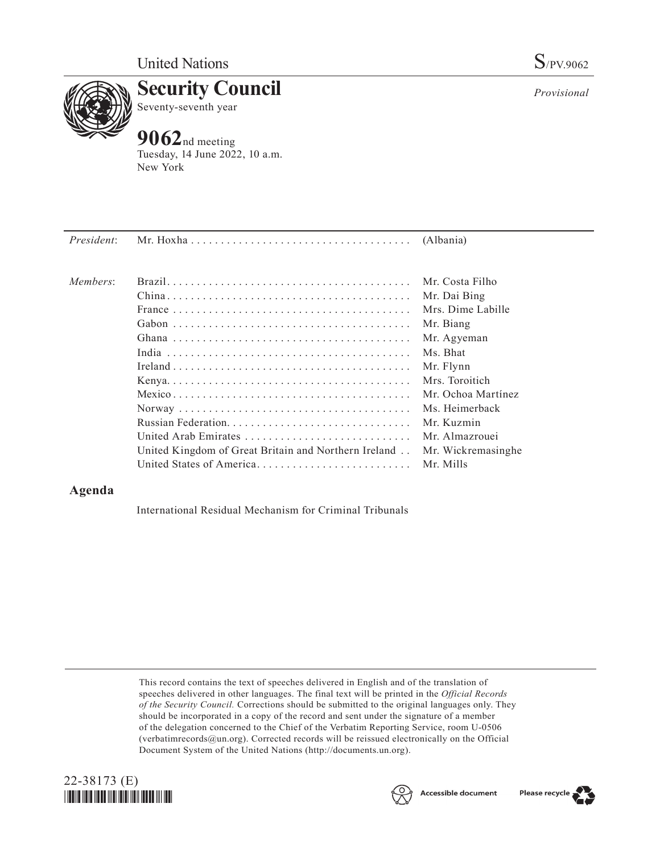

**Security Council** Seventy-seventh year

## **9062**nd meeting

Tuesday, 14 June 2022, 10 a.m. New York

| President: |                                                      |                    |
|------------|------------------------------------------------------|--------------------|
| Members:   |                                                      | Mr. Costa Filho    |
|            |                                                      | Mr. Dai Bing       |
|            |                                                      | Mrs. Dime Labille  |
|            |                                                      | Mr. Biang          |
|            |                                                      | Mr. Agyeman        |
|            |                                                      | Ms. Bhat           |
|            |                                                      | Mr. Flynn          |
|            |                                                      | Mrs. Toroitich     |
|            |                                                      | Mr. Ochoa Martínez |
|            |                                                      | Ms. Heimerback     |
|            |                                                      | Mr. Kuzmin         |
|            | United Arab Emirates                                 | Mr. Almazrouei     |
|            | United Kingdom of Great Britain and Northern Ireland | Mr. Wickremasinghe |
|            | United States of America                             | Mr. Mills          |

## **Agenda**

International Residual Mechanism for Criminal Tribunals

This record contains the text of speeches delivered in English and of the translation of speeches delivered in other languages. The final text will be printed in the *Official Records of the Security Council.* Corrections should be submitted to the original languages only. They should be incorporated in a copy of the record and sent under the signature of a member of the delegation concerned to the Chief of the Verbatim Reporting Service, room U-0506 (verbatimrecords@un.org). Corrected records will be reissued electronically on the Official Document System of the United Nations (http://documents.un.org).







*Provisional*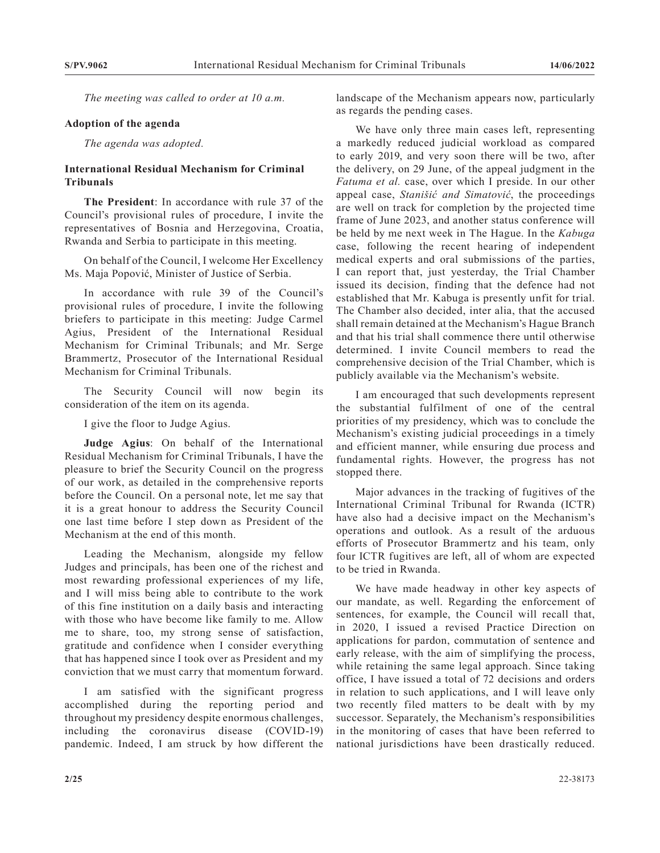*The meeting was called to order at 10 a.m.*

## **Adoption of the agenda**

*The agenda was adopted.*

## **International Residual Mechanism for Criminal Tribunals**

**The President**: In accordance with rule 37 of the Council's provisional rules of procedure, I invite the representatives of Bosnia and Herzegovina, Croatia, Rwanda and Serbia to participate in this meeting.

On behalf of the Council, I welcome Her Excellency Ms. Maja Popović, Minister of Justice of Serbia.

In accordance with rule 39 of the Council's provisional rules of procedure, I invite the following briefers to participate in this meeting: Judge Carmel Agius, President of the International Residual Mechanism for Criminal Tribunals; and Mr. Serge Brammertz, Prosecutor of the International Residual Mechanism for Criminal Tribunals.

The Security Council will now begin its consideration of the item on its agenda.

I give the floor to Judge Agius.

**Judge Agius**: On behalf of the International Residual Mechanism for Criminal Tribunals, I have the pleasure to brief the Security Council on the progress of our work, as detailed in the comprehensive reports before the Council. On a personal note, let me say that it is a great honour to address the Security Council one last time before I step down as President of the Mechanism at the end of this month.

Leading the Mechanism, alongside my fellow Judges and principals, has been one of the richest and most rewarding professional experiences of my life, and I will miss being able to contribute to the work of this fine institution on a daily basis and interacting with those who have become like family to me. Allow me to share, too, my strong sense of satisfaction, gratitude and confidence when I consider everything that has happened since I took over as President and my conviction that we must carry that momentum forward.

I am satisfied with the significant progress accomplished during the reporting period and throughout my presidency despite enormous challenges, including the coronavirus disease (COVID-19) pandemic. Indeed, I am struck by how different the

landscape of the Mechanism appears now, particularly as regards the pending cases.

We have only three main cases left, representing a markedly reduced judicial workload as compared to early 2019, and very soon there will be two, after the delivery, on 29 June, of the appeal judgment in the *Fatuma et al.* case, over which I preside. In our other appeal case, *Stanišić and Simatović*, the proceedings are well on track for completion by the projected time frame of June 2023, and another status conference will be held by me next week in The Hague. In the *Kabuga* case, following the recent hearing of independent medical experts and oral submissions of the parties, I can report that, just yesterday, the Trial Chamber issued its decision, finding that the defence had not established that Mr. Kabuga is presently unfit for trial. The Chamber also decided, inter alia, that the accused shall remain detained at the Mechanism's Hague Branch and that his trial shall commence there until otherwise determined. I invite Council members to read the comprehensive decision of the Trial Chamber, which is publicly available via the Mechanism's website.

I am encouraged that such developments represent the substantial fulfilment of one of the central priorities of my presidency, which was to conclude the Mechanism's existing judicial proceedings in a timely and efficient manner, while ensuring due process and fundamental rights. However, the progress has not stopped there.

Major advances in the tracking of fugitives of the International Criminal Tribunal for Rwanda (ICTR) have also had a decisive impact on the Mechanism's operations and outlook. As a result of the arduous efforts of Prosecutor Brammertz and his team, only four ICTR fugitives are left, all of whom are expected to be tried in Rwanda.

We have made headway in other key aspects of our mandate, as well. Regarding the enforcement of sentences, for example, the Council will recall that, in 2020, I issued a revised Practice Direction on applications for pardon, commutation of sentence and early release, with the aim of simplifying the process, while retaining the same legal approach. Since taking office, I have issued a total of 72 decisions and orders in relation to such applications, and I will leave only two recently filed matters to be dealt with by my successor. Separately, the Mechanism's responsibilities in the monitoring of cases that have been referred to national jurisdictions have been drastically reduced.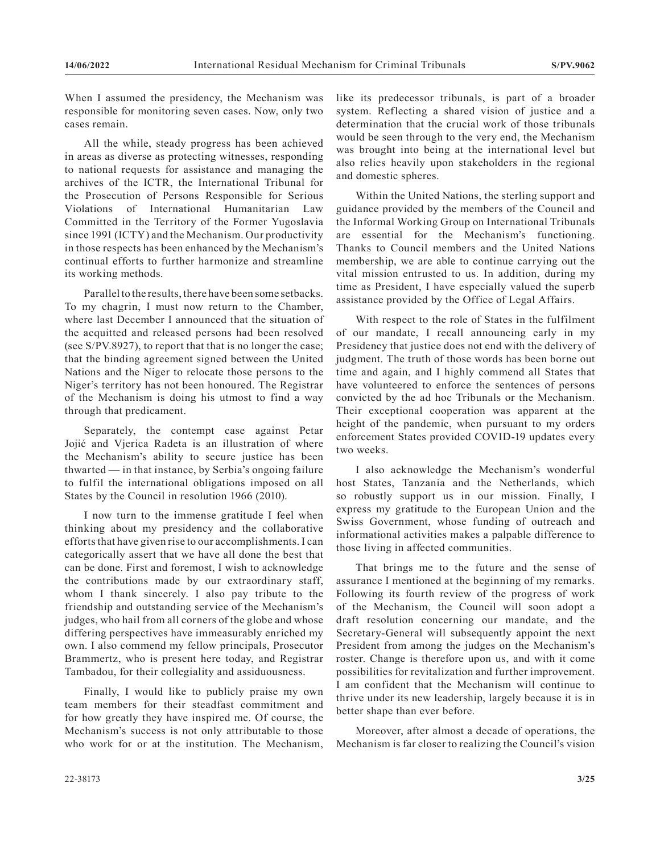When I assumed the presidency, the Mechanism was responsible for monitoring seven cases. Now, only two cases remain.

All the while, steady progress has been achieved in areas as diverse as protecting witnesses, responding to national requests for assistance and managing the archives of the ICTR, the International Tribunal for the Prosecution of Persons Responsible for Serious Violations of International Humanitarian Law Committed in the Territory of the Former Yugoslavia since 1991 (ICTY) and the Mechanism. Our productivity in those respects has been enhanced by the Mechanism's continual efforts to further harmonize and streamline its working methods.

Parallel to the results, there have been some setbacks. To my chagrin, I must now return to the Chamber, where last December I announced that the situation of the acquitted and released persons had been resolved (see S/PV.8927), to report that that is no longer the case; that the binding agreement signed between the United Nations and the Niger to relocate those persons to the Niger's territory has not been honoured. The Registrar of the Mechanism is doing his utmost to find a way through that predicament.

Separately, the contempt case against Petar Jojić and Vjerica Radeta is an illustration of where the Mechanism's ability to secure justice has been thwarted — in that instance, by Serbia's ongoing failure to fulfil the international obligations imposed on all States by the Council in resolution 1966 (2010).

I now turn to the immense gratitude I feel when thinking about my presidency and the collaborative efforts that have given rise to our accomplishments. I can categorically assert that we have all done the best that can be done. First and foremost, I wish to acknowledge the contributions made by our extraordinary staff, whom I thank sincerely. I also pay tribute to the friendship and outstanding service of the Mechanism's judges, who hail from all corners of the globe and whose differing perspectives have immeasurably enriched my own. I also commend my fellow principals, Prosecutor Brammertz, who is present here today, and Registrar Tambadou, for their collegiality and assiduousness.

Finally, I would like to publicly praise my own team members for their steadfast commitment and for how greatly they have inspired me. Of course, the Mechanism's success is not only attributable to those who work for or at the institution. The Mechanism, like its predecessor tribunals, is part of a broader system. Reflecting a shared vision of justice and a determination that the crucial work of those tribunals would be seen through to the very end, the Mechanism was brought into being at the international level but also relies heavily upon stakeholders in the regional and domestic spheres.

Within the United Nations, the sterling support and guidance provided by the members of the Council and the Informal Working Group on International Tribunals are essential for the Mechanism's functioning. Thanks to Council members and the United Nations membership, we are able to continue carrying out the vital mission entrusted to us. In addition, during my time as President, I have especially valued the superb assistance provided by the Office of Legal Affairs.

With respect to the role of States in the fulfilment of our mandate, I recall announcing early in my Presidency that justice does not end with the delivery of judgment. The truth of those words has been borne out time and again, and I highly commend all States that have volunteered to enforce the sentences of persons convicted by the ad hoc Tribunals or the Mechanism. Their exceptional cooperation was apparent at the height of the pandemic, when pursuant to my orders enforcement States provided COVID-19 updates every two weeks.

I also acknowledge the Mechanism's wonderful host States, Tanzania and the Netherlands, which so robustly support us in our mission. Finally, I express my gratitude to the European Union and the Swiss Government, whose funding of outreach and informational activities makes a palpable difference to those living in affected communities.

That brings me to the future and the sense of assurance I mentioned at the beginning of my remarks. Following its fourth review of the progress of work of the Mechanism, the Council will soon adopt a draft resolution concerning our mandate, and the Secretary-General will subsequently appoint the next President from among the judges on the Mechanism's roster. Change is therefore upon us, and with it come possibilities for revitalization and further improvement. I am confident that the Mechanism will continue to thrive under its new leadership, largely because it is in better shape than ever before.

Moreover, after almost a decade of operations, the Mechanism is far closer to realizing the Council's vision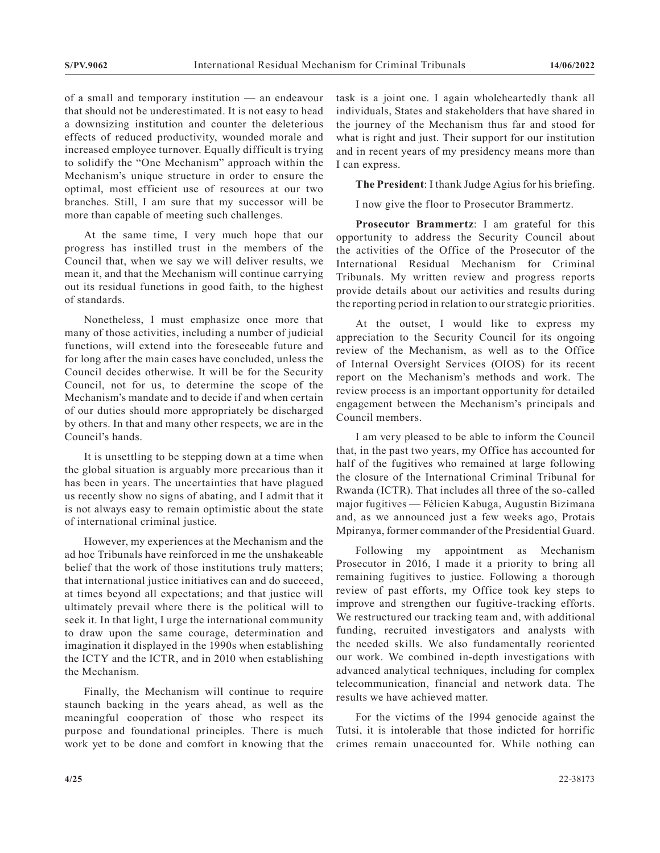of a small and temporary institution — an endeavour that should not be underestimated. It is not easy to head a downsizing institution and counter the deleterious effects of reduced productivity, wounded morale and increased employee turnover. Equally difficult is trying to solidify the "One Mechanism" approach within the Mechanism's unique structure in order to ensure the optimal, most efficient use of resources at our two branches. Still, I am sure that my successor will be more than capable of meeting such challenges.

At the same time, I very much hope that our progress has instilled trust in the members of the Council that, when we say we will deliver results, we mean it, and that the Mechanism will continue carrying out its residual functions in good faith, to the highest of standards.

Nonetheless, I must emphasize once more that many of those activities, including a number of judicial functions, will extend into the foreseeable future and for long after the main cases have concluded, unless the Council decides otherwise. It will be for the Security Council, not for us, to determine the scope of the Mechanism's mandate and to decide if and when certain of our duties should more appropriately be discharged by others. In that and many other respects, we are in the Council's hands.

It is unsettling to be stepping down at a time when the global situation is arguably more precarious than it has been in years. The uncertainties that have plagued us recently show no signs of abating, and I admit that it is not always easy to remain optimistic about the state of international criminal justice.

However, my experiences at the Mechanism and the ad hoc Tribunals have reinforced in me the unshakeable belief that the work of those institutions truly matters; that international justice initiatives can and do succeed, at times beyond all expectations; and that justice will ultimately prevail where there is the political will to seek it. In that light, I urge the international community to draw upon the same courage, determination and imagination it displayed in the 1990s when establishing the ICTY and the ICTR, and in 2010 when establishing the Mechanism.

Finally, the Mechanism will continue to require staunch backing in the years ahead, as well as the meaningful cooperation of those who respect its purpose and foundational principles. There is much work yet to be done and comfort in knowing that the task is a joint one. I again wholeheartedly thank all individuals, States and stakeholders that have shared in the journey of the Mechanism thus far and stood for what is right and just. Their support for our institution and in recent years of my presidency means more than I can express.

**The President**: I thank Judge Agius for his briefing.

I now give the floor to Prosecutor Brammertz.

**Prosecutor Brammertz**: I am grateful for this opportunity to address the Security Council about the activities of the Office of the Prosecutor of the International Residual Mechanism for Criminal Tribunals. My written review and progress reports provide details about our activities and results during the reporting period in relation to our strategic priorities.

At the outset, I would like to express my appreciation to the Security Council for its ongoing review of the Mechanism, as well as to the Office of Internal Oversight Services (OIOS) for its recent report on the Mechanism's methods and work. The review process is an important opportunity for detailed engagement between the Mechanism's principals and Council members.

I am very pleased to be able to inform the Council that, in the past two years, my Office has accounted for half of the fugitives who remained at large following the closure of the International Criminal Tribunal for Rwanda (ICTR). That includes all three of the so-called major fugitives — Félicien Kabuga, Augustin Bizimana and, as we announced just a few weeks ago, Protais Mpiranya, former commander of the Presidential Guard.

Following my appointment as Mechanism Prosecutor in 2016, I made it a priority to bring all remaining fugitives to justice. Following a thorough review of past efforts, my Office took key steps to improve and strengthen our fugitive-tracking efforts. We restructured our tracking team and, with additional funding, recruited investigators and analysts with the needed skills. We also fundamentally reoriented our work. We combined in-depth investigations with advanced analytical techniques, including for complex telecommunication, financial and network data. The results we have achieved matter.

For the victims of the 1994 genocide against the Tutsi, it is intolerable that those indicted for horrific crimes remain unaccounted for. While nothing can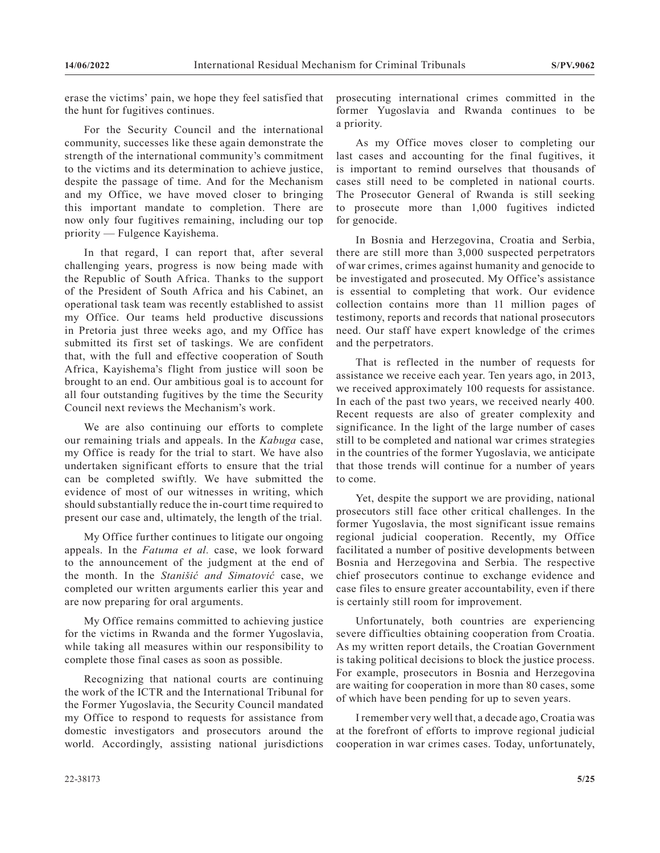erase the victims' pain, we hope they feel satisfied that the hunt for fugitives continues.

For the Security Council and the international community, successes like these again demonstrate the strength of the international community's commitment to the victims and its determination to achieve justice, despite the passage of time. And for the Mechanism and my Office, we have moved closer to bringing this important mandate to completion. There are now only four fugitives remaining, including our top priority — Fulgence Kayishema.

In that regard, I can report that, after several challenging years, progress is now being made with the Republic of South Africa. Thanks to the support of the President of South Africa and his Cabinet, an operational task team was recently established to assist my Office. Our teams held productive discussions in Pretoria just three weeks ago, and my Office has submitted its first set of taskings. We are confident that, with the full and effective cooperation of South Africa, Kayishema's flight from justice will soon be brought to an end. Our ambitious goal is to account for all four outstanding fugitives by the time the Security Council next reviews the Mechanism's work.

We are also continuing our efforts to complete our remaining trials and appeals. In the *Kabuga* case, my Office is ready for the trial to start. We have also undertaken significant efforts to ensure that the trial can be completed swiftly. We have submitted the evidence of most of our witnesses in writing, which should substantially reduce the in-court time required to present our case and, ultimately, the length of the trial.

My Office further continues to litigate our ongoing appeals. In the *Fatuma et al.* case, we look forward to the announcement of the judgment at the end of the month. In the *Stanišić and Simatović* case, we completed our written arguments earlier this year and are now preparing for oral arguments.

My Office remains committed to achieving justice for the victims in Rwanda and the former Yugoslavia, while taking all measures within our responsibility to complete those final cases as soon as possible.

Recognizing that national courts are continuing the work of the ICTR and the International Tribunal for the Former Yugoslavia, the Security Council mandated my Office to respond to requests for assistance from domestic investigators and prosecutors around the world. Accordingly, assisting national jurisdictions

prosecuting international crimes committed in the former Yugoslavia and Rwanda continues to be a priority.

As my Office moves closer to completing our last cases and accounting for the final fugitives, it is important to remind ourselves that thousands of cases still need to be completed in national courts. The Prosecutor General of Rwanda is still seeking to prosecute more than 1,000 fugitives indicted for genocide.

In Bosnia and Herzegovina, Croatia and Serbia, there are still more than 3,000 suspected perpetrators of war crimes, crimes against humanity and genocide to be investigated and prosecuted. My Office's assistance is essential to completing that work. Our evidence collection contains more than 11 million pages of testimony, reports and records that national prosecutors need. Our staff have expert knowledge of the crimes and the perpetrators.

That is reflected in the number of requests for assistance we receive each year. Ten years ago, in 2013, we received approximately 100 requests for assistance. In each of the past two years, we received nearly 400. Recent requests are also of greater complexity and significance. In the light of the large number of cases still to be completed and national war crimes strategies in the countries of the former Yugoslavia, we anticipate that those trends will continue for a number of years to come.

Yet, despite the support we are providing, national prosecutors still face other critical challenges. In the former Yugoslavia, the most significant issue remains regional judicial cooperation. Recently, my Office facilitated a number of positive developments between Bosnia and Herzegovina and Serbia. The respective chief prosecutors continue to exchange evidence and case files to ensure greater accountability, even if there is certainly still room for improvement.

Unfortunately, both countries are experiencing severe difficulties obtaining cooperation from Croatia. As my written report details, the Croatian Government is taking political decisions to block the justice process. For example, prosecutors in Bosnia and Herzegovina are waiting for cooperation in more than 80 cases, some of which have been pending for up to seven years.

I remember very well that, a decade ago, Croatia was at the forefront of efforts to improve regional judicial cooperation in war crimes cases. Today, unfortunately,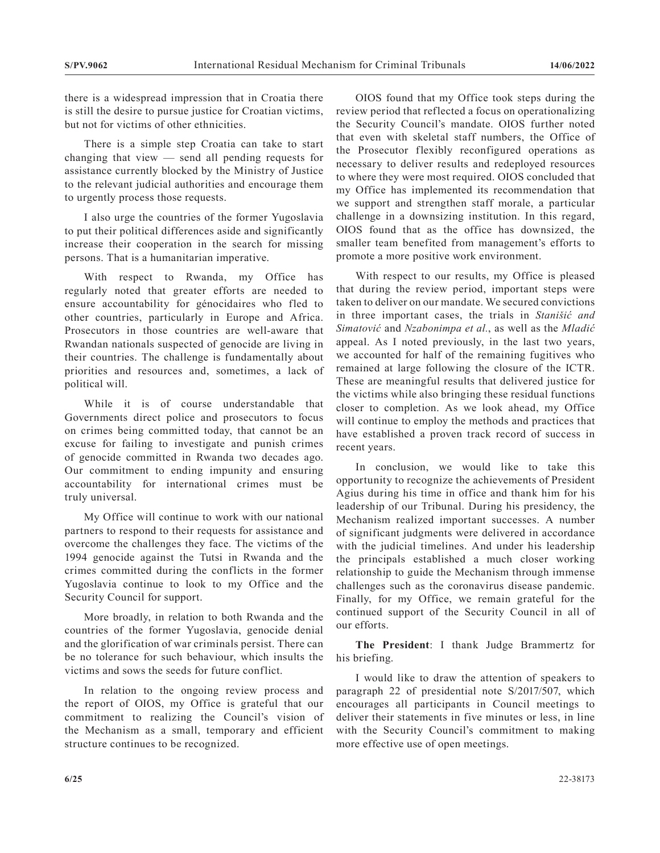there is a widespread impression that in Croatia there is still the desire to pursue justice for Croatian victims, but not for victims of other ethnicities.

There is a simple step Croatia can take to start changing that view — send all pending requests for assistance currently blocked by the Ministry of Justice to the relevant judicial authorities and encourage them to urgently process those requests.

I also urge the countries of the former Yugoslavia to put their political differences aside and significantly increase their cooperation in the search for missing persons. That is a humanitarian imperative.

With respect to Rwanda, my Office has regularly noted that greater efforts are needed to ensure accountability for génocidaires who fled to other countries, particularly in Europe and Africa. Prosecutors in those countries are well-aware that Rwandan nationals suspected of genocide are living in their countries. The challenge is fundamentally about priorities and resources and, sometimes, a lack of political will.

While it is of course understandable that Governments direct police and prosecutors to focus on crimes being committed today, that cannot be an excuse for failing to investigate and punish crimes of genocide committed in Rwanda two decades ago. Our commitment to ending impunity and ensuring accountability for international crimes must be truly universal.

My Office will continue to work with our national partners to respond to their requests for assistance and overcome the challenges they face. The victims of the 1994 genocide against the Tutsi in Rwanda and the crimes committed during the conflicts in the former Yugoslavia continue to look to my Office and the Security Council for support.

More broadly, in relation to both Rwanda and the countries of the former Yugoslavia, genocide denial and the glorification of war criminals persist. There can be no tolerance for such behaviour, which insults the victims and sows the seeds for future conflict.

In relation to the ongoing review process and the report of OIOS, my Office is grateful that our commitment to realizing the Council's vision of the Mechanism as a small, temporary and efficient structure continues to be recognized.

OIOS found that my Office took steps during the review period that reflected a focus on operationalizing the Security Council's mandate. OIOS further noted that even with skeletal staff numbers, the Office of the Prosecutor flexibly reconfigured operations as necessary to deliver results and redeployed resources to where they were most required. OIOS concluded that my Office has implemented its recommendation that we support and strengthen staff morale, a particular challenge in a downsizing institution. In this regard, OIOS found that as the office has downsized, the smaller team benefited from management's efforts to promote a more positive work environment.

With respect to our results, my Office is pleased that during the review period, important steps were taken to deliver on our mandate. We secured convictions in three important cases, the trials in *Stanišić and Simatović* and *Nzabonimpa et al.*, as well as the *Mladić* appeal. As I noted previously, in the last two years, we accounted for half of the remaining fugitives who remained at large following the closure of the ICTR. These are meaningful results that delivered justice for the victims while also bringing these residual functions closer to completion. As we look ahead, my Office will continue to employ the methods and practices that have established a proven track record of success in recent years.

In conclusion, we would like to take this opportunity to recognize the achievements of President Agius during his time in office and thank him for his leadership of our Tribunal. During his presidency, the Mechanism realized important successes. A number of significant judgments were delivered in accordance with the judicial timelines. And under his leadership the principals established a much closer working relationship to guide the Mechanism through immense challenges such as the coronavirus disease pandemic. Finally, for my Office, we remain grateful for the continued support of the Security Council in all of our efforts.

**The President**: I thank Judge Brammertz for his briefing.

I would like to draw the attention of speakers to paragraph 22 of presidential note S/2017/507, which encourages all participants in Council meetings to deliver their statements in five minutes or less, in line with the Security Council's commitment to making more effective use of open meetings.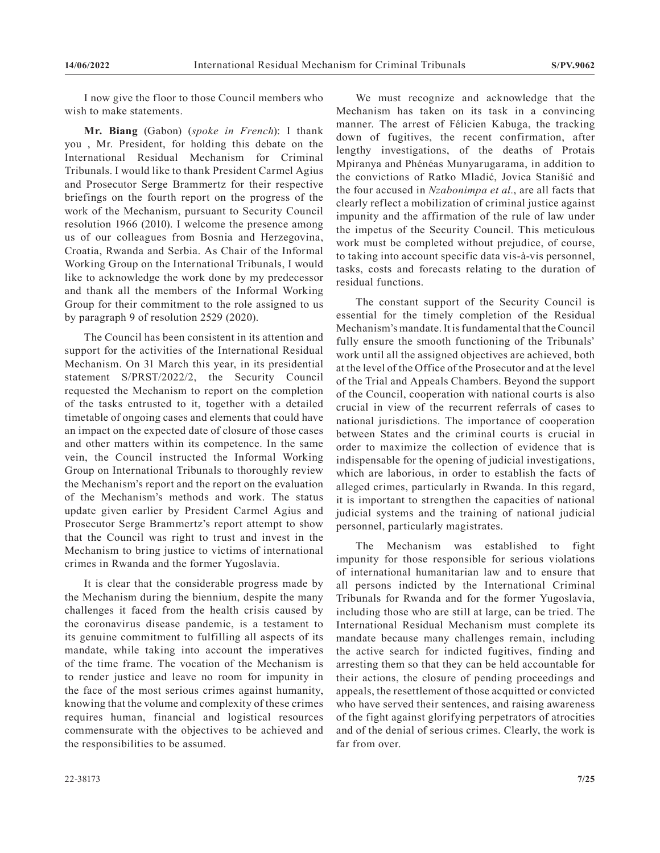I now give the floor to those Council members who wish to make statements.

**Mr. Biang** (Gabon) (*spoke in French*): I thank you , Mr. President, for holding this debate on the International Residual Mechanism for Criminal Tribunals. I would like to thank President Carmel Agius and Prosecutor Serge Brammertz for their respective briefings on the fourth report on the progress of the work of the Mechanism, pursuant to Security Council resolution 1966 (2010). I welcome the presence among us of our colleagues from Bosnia and Herzegovina, Croatia, Rwanda and Serbia. As Chair of the Informal Working Group on the International Tribunals, I would like to acknowledge the work done by my predecessor and thank all the members of the Informal Working Group for their commitment to the role assigned to us by paragraph 9 of resolution 2529 (2020).

The Council has been consistent in its attention and support for the activities of the International Residual Mechanism. On 31 March this year, in its presidential statement S/PRST/2022/2, the Security Council requested the Mechanism to report on the completion of the tasks entrusted to it, together with a detailed timetable of ongoing cases and elements that could have an impact on the expected date of closure of those cases and other matters within its competence. In the same vein, the Council instructed the Informal Working Group on International Tribunals to thoroughly review the Mechanism's report and the report on the evaluation of the Mechanism's methods and work. The status update given earlier by President Carmel Agius and Prosecutor Serge Brammertz's report attempt to show that the Council was right to trust and invest in the Mechanism to bring justice to victims of international crimes in Rwanda and the former Yugoslavia.

It is clear that the considerable progress made by the Mechanism during the biennium, despite the many challenges it faced from the health crisis caused by the coronavirus disease pandemic, is a testament to its genuine commitment to fulfilling all aspects of its mandate, while taking into account the imperatives of the time frame. The vocation of the Mechanism is to render justice and leave no room for impunity in the face of the most serious crimes against humanity, knowing that the volume and complexity of these crimes requires human, financial and logistical resources commensurate with the objectives to be achieved and the responsibilities to be assumed.

We must recognize and acknowledge that the Mechanism has taken on its task in a convincing manner. The arrest of Félicien Kabuga, the tracking down of fugitives, the recent confirmation, after lengthy investigations, of the deaths of Protais Mpiranya and Phénéas Munyarugarama, in addition to the convictions of Ratko Mladić, Jovica Stanišić and the four accused in *Nzabonimpa et al.*, are all facts that clearly reflect a mobilization of criminal justice against impunity and the affirmation of the rule of law under the impetus of the Security Council. This meticulous work must be completed without prejudice, of course, to taking into account specific data vis-à-vis personnel, tasks, costs and forecasts relating to the duration of residual functions.

The constant support of the Security Council is essential for the timely completion of the Residual Mechanism's mandate. It is fundamental that the Council fully ensure the smooth functioning of the Tribunals' work until all the assigned objectives are achieved, both at the level of the Office of the Prosecutor and at the level of the Trial and Appeals Chambers. Beyond the support of the Council, cooperation with national courts is also crucial in view of the recurrent referrals of cases to national jurisdictions. The importance of cooperation between States and the criminal courts is crucial in order to maximize the collection of evidence that is indispensable for the opening of judicial investigations, which are laborious, in order to establish the facts of alleged crimes, particularly in Rwanda. In this regard, it is important to strengthen the capacities of national judicial systems and the training of national judicial personnel, particularly magistrates.

The Mechanism was established to fight impunity for those responsible for serious violations of international humanitarian law and to ensure that all persons indicted by the International Criminal Tribunals for Rwanda and for the former Yugoslavia, including those who are still at large, can be tried. The International Residual Mechanism must complete its mandate because many challenges remain, including the active search for indicted fugitives, finding and arresting them so that they can be held accountable for their actions, the closure of pending proceedings and appeals, the resettlement of those acquitted or convicted who have served their sentences, and raising awareness of the fight against glorifying perpetrators of atrocities and of the denial of serious crimes. Clearly, the work is far from over.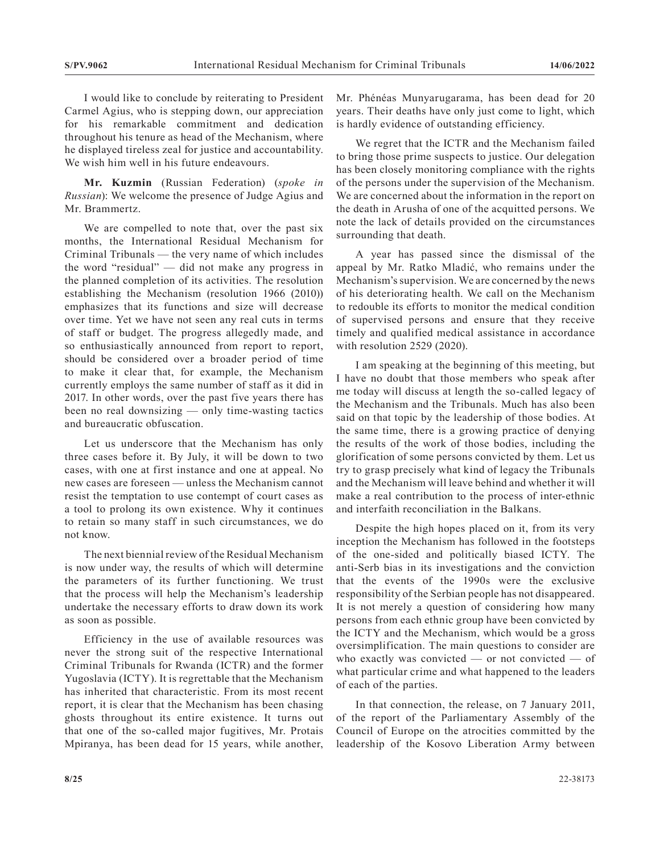I would like to conclude by reiterating to President Carmel Agius, who is stepping down, our appreciation for his remarkable commitment and dedication throughout his tenure as head of the Mechanism, where he displayed tireless zeal for justice and accountability. We wish him well in his future endeavours.

**Mr. Kuzmin** (Russian Federation) (*spoke in Russian*): We welcome the presence of Judge Agius and Mr. Brammertz.

We are compelled to note that, over the past six months, the International Residual Mechanism for Criminal Tribunals — the very name of which includes the word "residual" — did not make any progress in the planned completion of its activities. The resolution establishing the Mechanism (resolution 1966 (2010)) emphasizes that its functions and size will decrease over time. Yet we have not seen any real cuts in terms of staff or budget. The progress allegedly made, and so enthusiastically announced from report to report, should be considered over a broader period of time to make it clear that, for example, the Mechanism currently employs the same number of staff as it did in 2017. In other words, over the past five years there has been no real downsizing — only time-wasting tactics and bureaucratic obfuscation.

Let us underscore that the Mechanism has only three cases before it. By July, it will be down to two cases, with one at first instance and one at appeal. No new cases are foreseen — unless the Mechanism cannot resist the temptation to use contempt of court cases as a tool to prolong its own existence. Why it continues to retain so many staff in such circumstances, we do not know.

The next biennial review of the Residual Mechanism is now under way, the results of which will determine the parameters of its further functioning. We trust that the process will help the Mechanism's leadership undertake the necessary efforts to draw down its work as soon as possible.

Efficiency in the use of available resources was never the strong suit of the respective International Criminal Tribunals for Rwanda (ICTR) and the former Yugoslavia (ICTY). It is regrettable that the Mechanism has inherited that characteristic. From its most recent report, it is clear that the Mechanism has been chasing ghosts throughout its entire existence. It turns out that one of the so-called major fugitives, Mr. Protais Mpiranya, has been dead for 15 years, while another,

Mr. Phénéas Munyarugarama, has been dead for 20 years. Their deaths have only just come to light, which is hardly evidence of outstanding efficiency.

We regret that the ICTR and the Mechanism failed to bring those prime suspects to justice. Our delegation has been closely monitoring compliance with the rights of the persons under the supervision of the Mechanism. We are concerned about the information in the report on the death in Arusha of one of the acquitted persons. We note the lack of details provided on the circumstances surrounding that death.

A year has passed since the dismissal of the appeal by Mr. Ratko Mladić, who remains under the Mechanism's supervision. We are concerned by the news of his deteriorating health. We call on the Mechanism to redouble its efforts to monitor the medical condition of supervised persons and ensure that they receive timely and qualified medical assistance in accordance with resolution 2529 (2020).

I am speaking at the beginning of this meeting, but I have no doubt that those members who speak after me today will discuss at length the so-called legacy of the Mechanism and the Tribunals. Much has also been said on that topic by the leadership of those bodies. At the same time, there is a growing practice of denying the results of the work of those bodies, including the glorification of some persons convicted by them. Let us try to grasp precisely what kind of legacy the Tribunals and the Mechanism will leave behind and whether it will make a real contribution to the process of inter-ethnic and interfaith reconciliation in the Balkans.

Despite the high hopes placed on it, from its very inception the Mechanism has followed in the footsteps of the one-sided and politically biased ICTY. The anti-Serb bias in its investigations and the conviction that the events of the 1990s were the exclusive responsibility of the Serbian people has not disappeared. It is not merely a question of considering how many persons from each ethnic group have been convicted by the ICTY and the Mechanism, which would be a gross oversimplification. The main questions to consider are who exactly was convicted — or not convicted — of what particular crime and what happened to the leaders of each of the parties.

In that connection, the release, on 7 January 2011, of the report of the Parliamentary Assembly of the Council of Europe on the atrocities committed by the leadership of the Kosovo Liberation Army between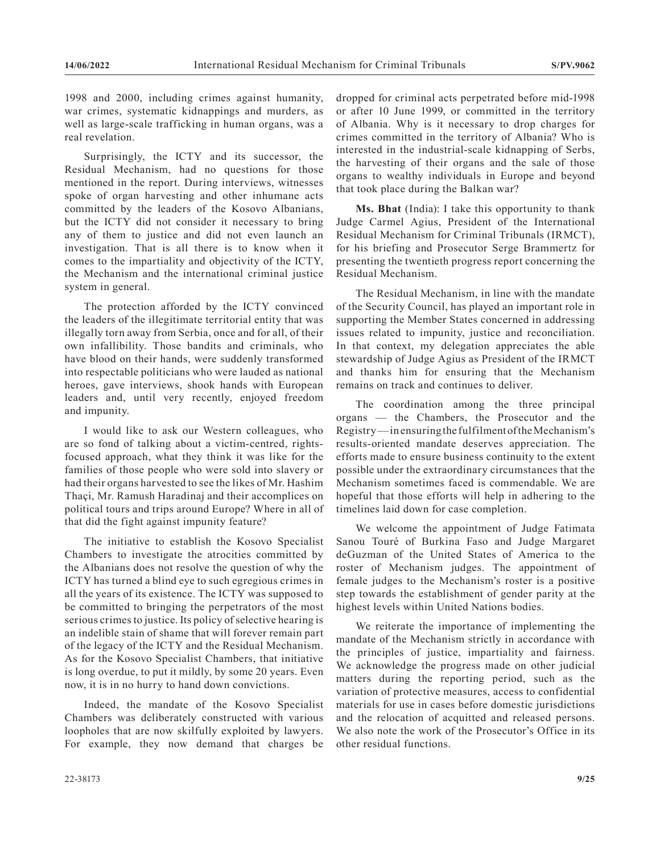1998 and 2000, including crimes against humanity, war crimes, systematic kidnappings and murders, as well as large-scale trafficking in human organs, was a real revelation.

Surprisingly, the ICTY and its successor, the Residual Mechanism, had no questions for those mentioned in the report. During interviews, witnesses spoke of organ harvesting and other inhumane acts committed by the leaders of the Kosovo Albanians, but the ICTY did not consider it necessary to bring any of them to justice and did not even launch an investigation. That is all there is to know when it comes to the impartiality and objectivity of the ICTY, the Mechanism and the international criminal justice system in general.

The protection afforded by the ICTY convinced the leaders of the illegitimate territorial entity that was illegally torn away from Serbia, once and for all, of their own infallibility. Those bandits and criminals, who have blood on their hands, were suddenly transformed into respectable politicians who were lauded as national heroes, gave interviews, shook hands with European leaders and, until very recently, enjoyed freedom and impunity.

I would like to ask our Western colleagues, who are so fond of talking about a victim-centred, rightsfocused approach, what they think it was like for the families of those people who were sold into slavery or had their organs harvested to see the likes of Mr. Hashim Thaçi, Mr. Ramush Haradinaj and their accomplices on political tours and trips around Europe? Where in all of that did the fight against impunity feature?

The initiative to establish the Kosovo Specialist Chambers to investigate the atrocities committed by the Albanians does not resolve the question of why the ICTY has turned a blind eye to such egregious crimes in all the years of its existence. The ICTY was supposed to be committed to bringing the perpetrators of the most serious crimes to justice. Its policy of selective hearing is an indelible stain of shame that will forever remain part of the legacy of the ICTY and the Residual Mechanism. As for the Kosovo Specialist Chambers, that initiative is long overdue, to put it mildly, by some 20 years. Even now, it is in no hurry to hand down convictions.

Indeed, the mandate of the Kosovo Specialist Chambers was deliberately constructed with various loopholes that are now skilfully exploited by lawyers. For example, they now demand that charges be

dropped for criminal acts perpetrated before mid-1998 or after 10 June 1999, or committed in the territory of Albania. Why is it necessary to drop charges for crimes committed in the territory of Albania? Who is interested in the industrial-scale kidnapping of Serbs, the harvesting of their organs and the sale of those organs to wealthy individuals in Europe and beyond that took place during the Balkan war?

**Ms. Bhat** (India): I take this opportunity to thank Judge Carmel Agius, President of the International Residual Mechanism for Criminal Tribunals (IRMCT), for his briefing and Prosecutor Serge Brammertz for presenting the twentieth progress report concerning the Residual Mechanism.

The Residual Mechanism, in line with the mandate of the Security Council, has played an important role in supporting the Member States concerned in addressing issues related to impunity, justice and reconciliation. In that context, my delegation appreciates the able stewardship of Judge Agius as President of the IRMCT and thanks him for ensuring that the Mechanism remains on track and continues to deliver.

The coordination among the three principal organs — the Chambers, the Prosecutor and the Registry— in ensuring the fulfilment of the Mechanism's results-oriented mandate deserves appreciation. The efforts made to ensure business continuity to the extent possible under the extraordinary circumstances that the Mechanism sometimes faced is commendable. We are hopeful that those efforts will help in adhering to the timelines laid down for case completion.

We welcome the appointment of Judge Fatimata Sanou Touré of Burkina Faso and Judge Margaret deGuzman of the United States of America to the roster of Mechanism judges. The appointment of female judges to the Mechanism's roster is a positive step towards the establishment of gender parity at the highest levels within United Nations bodies.

We reiterate the importance of implementing the mandate of the Mechanism strictly in accordance with the principles of justice, impartiality and fairness. We acknowledge the progress made on other judicial matters during the reporting period, such as the variation of protective measures, access to confidential materials for use in cases before domestic jurisdictions and the relocation of acquitted and released persons. We also note the work of the Prosecutor's Office in its other residual functions.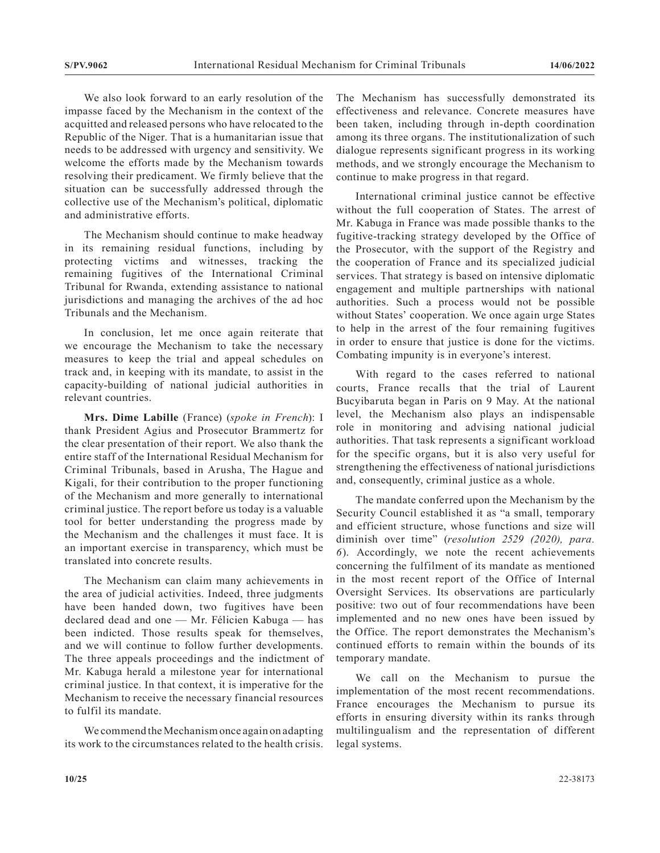We also look forward to an early resolution of the impasse faced by the Mechanism in the context of the acquitted and released persons who have relocated to the Republic of the Niger. That is a humanitarian issue that needs to be addressed with urgency and sensitivity. We welcome the efforts made by the Mechanism towards resolving their predicament. We firmly believe that the situation can be successfully addressed through the collective use of the Mechanism's political, diplomatic and administrative efforts.

The Mechanism should continue to make headway in its remaining residual functions, including by protecting victims and witnesses, tracking the remaining fugitives of the International Criminal Tribunal for Rwanda, extending assistance to national jurisdictions and managing the archives of the ad hoc Tribunals and the Mechanism.

In conclusion, let me once again reiterate that we encourage the Mechanism to take the necessary measures to keep the trial and appeal schedules on track and, in keeping with its mandate, to assist in the capacity-building of national judicial authorities in relevant countries.

**Mrs. Dime Labille** (France) (*spoke in French*): I thank President Agius and Prosecutor Brammertz for the clear presentation of their report. We also thank the entire staff of the International Residual Mechanism for Criminal Tribunals, based in Arusha, The Hague and Kigali, for their contribution to the proper functioning of the Mechanism and more generally to international criminal justice. The report before us today is a valuable tool for better understanding the progress made by the Mechanism and the challenges it must face. It is an important exercise in transparency, which must be translated into concrete results.

The Mechanism can claim many achievements in the area of judicial activities. Indeed, three judgments have been handed down, two fugitives have been declared dead and one — Mr. Félicien Kabuga — has been indicted. Those results speak for themselves, and we will continue to follow further developments. The three appeals proceedings and the indictment of Mr. Kabuga herald a milestone year for international criminal justice. In that context, it is imperative for the Mechanism to receive the necessary financial resources to fulfil its mandate.

We commend the Mechanism once again on adapting its work to the circumstances related to the health crisis. The Mechanism has successfully demonstrated its effectiveness and relevance. Concrete measures have been taken, including through in-depth coordination among its three organs. The institutionalization of such dialogue represents significant progress in its working methods, and we strongly encourage the Mechanism to continue to make progress in that regard.

International criminal justice cannot be effective without the full cooperation of States. The arrest of Mr. Kabuga in France was made possible thanks to the fugitive-tracking strategy developed by the Office of the Prosecutor, with the support of the Registry and the cooperation of France and its specialized judicial services. That strategy is based on intensive diplomatic engagement and multiple partnerships with national authorities. Such a process would not be possible without States' cooperation. We once again urge States to help in the arrest of the four remaining fugitives in order to ensure that justice is done for the victims. Combating impunity is in everyone's interest.

With regard to the cases referred to national courts, France recalls that the trial of Laurent Bucyibaruta began in Paris on 9 May. At the national level, the Mechanism also plays an indispensable role in monitoring and advising national judicial authorities. That task represents a significant workload for the specific organs, but it is also very useful for strengthening the effectiveness of national jurisdictions and, consequently, criminal justice as a whole.

The mandate conferred upon the Mechanism by the Security Council established it as "a small, temporary and efficient structure, whose functions and size will diminish over time" (*resolution 2529 (2020), para. 6*). Accordingly, we note the recent achievements concerning the fulfilment of its mandate as mentioned in the most recent report of the Office of Internal Oversight Services. Its observations are particularly positive: two out of four recommendations have been implemented and no new ones have been issued by the Office. The report demonstrates the Mechanism's continued efforts to remain within the bounds of its temporary mandate.

We call on the Mechanism to pursue the implementation of the most recent recommendations. France encourages the Mechanism to pursue its efforts in ensuring diversity within its ranks through multilingualism and the representation of different legal systems.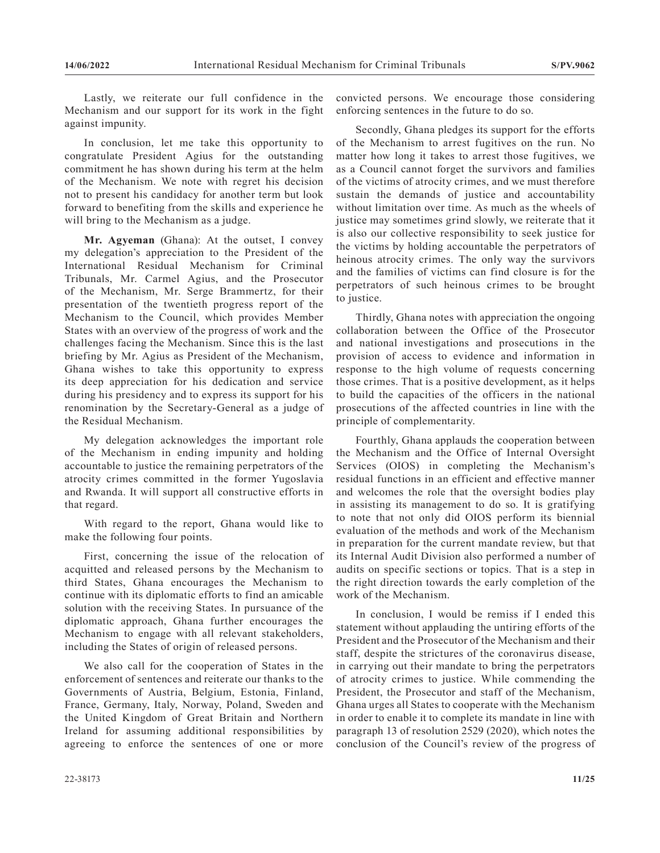Lastly, we reiterate our full confidence in the Mechanism and our support for its work in the fight against impunity.

In conclusion, let me take this opportunity to congratulate President Agius for the outstanding commitment he has shown during his term at the helm of the Mechanism. We note with regret his decision not to present his candidacy for another term but look forward to benefiting from the skills and experience he will bring to the Mechanism as a judge.

**Mr. Agyeman** (Ghana): At the outset, I convey my delegation's appreciation to the President of the International Residual Mechanism for Criminal Tribunals, Mr. Carmel Agius, and the Prosecutor of the Mechanism, Mr. Serge Brammertz, for their presentation of the twentieth progress report of the Mechanism to the Council, which provides Member States with an overview of the progress of work and the challenges facing the Mechanism. Since this is the last briefing by Mr. Agius as President of the Mechanism, Ghana wishes to take this opportunity to express its deep appreciation for his dedication and service during his presidency and to express its support for his renomination by the Secretary-General as a judge of the Residual Mechanism.

My delegation acknowledges the important role of the Mechanism in ending impunity and holding accountable to justice the remaining perpetrators of the atrocity crimes committed in the former Yugoslavia and Rwanda. It will support all constructive efforts in that regard.

With regard to the report, Ghana would like to make the following four points.

First, concerning the issue of the relocation of acquitted and released persons by the Mechanism to third States, Ghana encourages the Mechanism to continue with its diplomatic efforts to find an amicable solution with the receiving States. In pursuance of the diplomatic approach, Ghana further encourages the Mechanism to engage with all relevant stakeholders, including the States of origin of released persons.

We also call for the cooperation of States in the enforcement of sentences and reiterate our thanks to the Governments of Austria, Belgium, Estonia, Finland, France, Germany, Italy, Norway, Poland, Sweden and the United Kingdom of Great Britain and Northern Ireland for assuming additional responsibilities by agreeing to enforce the sentences of one or more convicted persons. We encourage those considering enforcing sentences in the future to do so.

Secondly, Ghana pledges its support for the efforts of the Mechanism to arrest fugitives on the run. No matter how long it takes to arrest those fugitives, we as a Council cannot forget the survivors and families of the victims of atrocity crimes, and we must therefore sustain the demands of justice and accountability without limitation over time. As much as the wheels of justice may sometimes grind slowly, we reiterate that it is also our collective responsibility to seek justice for the victims by holding accountable the perpetrators of heinous atrocity crimes. The only way the survivors and the families of victims can find closure is for the perpetrators of such heinous crimes to be brought to justice.

Thirdly, Ghana notes with appreciation the ongoing collaboration between the Office of the Prosecutor and national investigations and prosecutions in the provision of access to evidence and information in response to the high volume of requests concerning those crimes. That is a positive development, as it helps to build the capacities of the officers in the national prosecutions of the affected countries in line with the principle of complementarity.

Fourthly, Ghana applauds the cooperation between the Mechanism and the Office of Internal Oversight Services (OIOS) in completing the Mechanism's residual functions in an efficient and effective manner and welcomes the role that the oversight bodies play in assisting its management to do so. It is gratifying to note that not only did OIOS perform its biennial evaluation of the methods and work of the Mechanism in preparation for the current mandate review, but that its Internal Audit Division also performed a number of audits on specific sections or topics. That is a step in the right direction towards the early completion of the work of the Mechanism.

In conclusion, I would be remiss if I ended this statement without applauding the untiring efforts of the President and the Prosecutor of the Mechanism and their staff, despite the strictures of the coronavirus disease, in carrying out their mandate to bring the perpetrators of atrocity crimes to justice. While commending the President, the Prosecutor and staff of the Mechanism, Ghana urges all States to cooperate with the Mechanism in order to enable it to complete its mandate in line with paragraph 13 of resolution 2529 (2020), which notes the conclusion of the Council's review of the progress of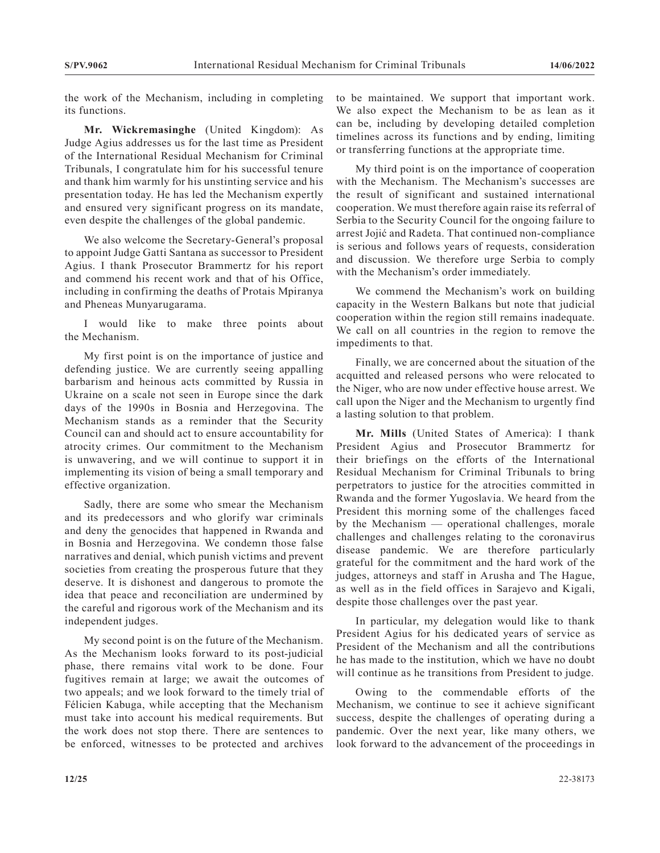the work of the Mechanism, including in completing its functions.

**Mr. Wickremasinghe** (United Kingdom): As Judge Agius addresses us for the last time as President of the International Residual Mechanism for Criminal Tribunals, I congratulate him for his successful tenure and thank him warmly for his unstinting service and his presentation today. He has led the Mechanism expertly and ensured very significant progress on its mandate, even despite the challenges of the global pandemic.

We also welcome the Secretary-General's proposal to appoint Judge Gatti Santana as successor to President Agius. I thank Prosecutor Brammertz for his report and commend his recent work and that of his Office, including in confirming the deaths of Protais Mpiranya and Pheneas Munyarugarama.

I would like to make three points about the Mechanism.

My first point is on the importance of justice and defending justice. We are currently seeing appalling barbarism and heinous acts committed by Russia in Ukraine on a scale not seen in Europe since the dark days of the 1990s in Bosnia and Herzegovina. The Mechanism stands as a reminder that the Security Council can and should act to ensure accountability for atrocity crimes. Our commitment to the Mechanism is unwavering, and we will continue to support it in implementing its vision of being a small temporary and effective organization.

Sadly, there are some who smear the Mechanism and its predecessors and who glorify war criminals and deny the genocides that happened in Rwanda and in Bosnia and Herzegovina. We condemn those false narratives and denial, which punish victims and prevent societies from creating the prosperous future that they deserve. It is dishonest and dangerous to promote the idea that peace and reconciliation are undermined by the careful and rigorous work of the Mechanism and its independent judges.

My second point is on the future of the Mechanism. As the Mechanism looks forward to its post-judicial phase, there remains vital work to be done. Four fugitives remain at large; we await the outcomes of two appeals; and we look forward to the timely trial of Félicien Kabuga, while accepting that the Mechanism must take into account his medical requirements. But the work does not stop there. There are sentences to be enforced, witnesses to be protected and archives

to be maintained. We support that important work. We also expect the Mechanism to be as lean as it can be, including by developing detailed completion timelines across its functions and by ending, limiting or transferring functions at the appropriate time.

My third point is on the importance of cooperation with the Mechanism. The Mechanism's successes are the result of significant and sustained international cooperation. We must therefore again raise its referral of Serbia to the Security Council for the ongoing failure to arrest Jojić and Radeta. That continued non-compliance is serious and follows years of requests, consideration and discussion. We therefore urge Serbia to comply with the Mechanism's order immediately.

We commend the Mechanism's work on building capacity in the Western Balkans but note that judicial cooperation within the region still remains inadequate. We call on all countries in the region to remove the impediments to that.

Finally, we are concerned about the situation of the acquitted and released persons who were relocated to the Niger, who are now under effective house arrest. We call upon the Niger and the Mechanism to urgently find a lasting solution to that problem.

**Mr. Mills** (United States of America): I thank President Agius and Prosecutor Brammertz for their briefings on the efforts of the International Residual Mechanism for Criminal Tribunals to bring perpetrators to justice for the atrocities committed in Rwanda and the former Yugoslavia. We heard from the President this morning some of the challenges faced by the Mechanism — operational challenges, morale challenges and challenges relating to the coronavirus disease pandemic. We are therefore particularly grateful for the commitment and the hard work of the judges, attorneys and staff in Arusha and The Hague, as well as in the field offices in Sarajevo and Kigali, despite those challenges over the past year.

In particular, my delegation would like to thank President Agius for his dedicated years of service as President of the Mechanism and all the contributions he has made to the institution, which we have no doubt will continue as he transitions from President to judge.

Owing to the commendable efforts of the Mechanism, we continue to see it achieve significant success, despite the challenges of operating during a pandemic. Over the next year, like many others, we look forward to the advancement of the proceedings in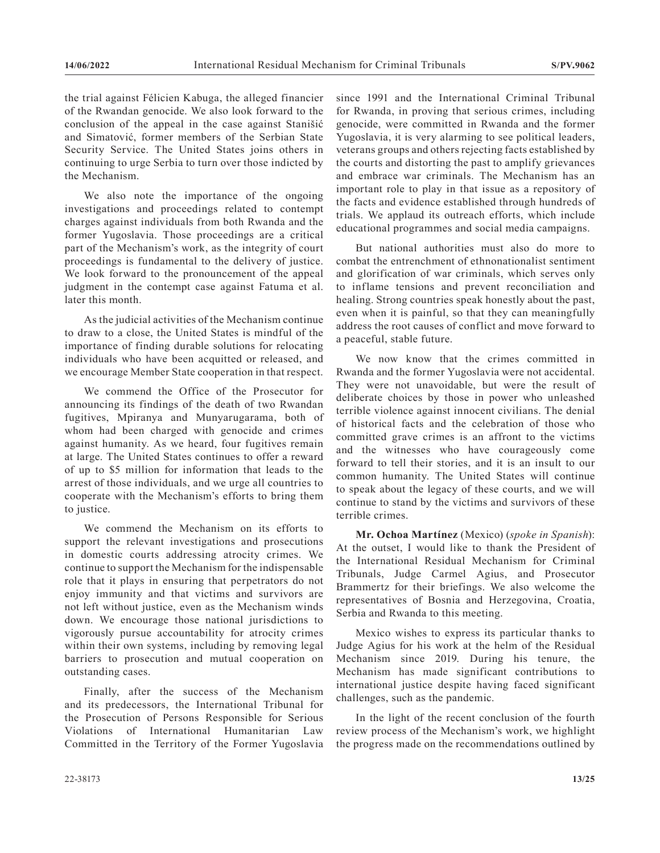the trial against Félicien Kabuga, the alleged financier of the Rwandan genocide. We also look forward to the conclusion of the appeal in the case against Stanišić and Simatović, former members of the Serbian State Security Service. The United States joins others in continuing to urge Serbia to turn over those indicted by the Mechanism.

We also note the importance of the ongoing investigations and proceedings related to contempt charges against individuals from both Rwanda and the former Yugoslavia. Those proceedings are a critical part of the Mechanism's work, as the integrity of court proceedings is fundamental to the delivery of justice. We look forward to the pronouncement of the appeal judgment in the contempt case against Fatuma et al. later this month.

As the judicial activities of the Mechanism continue to draw to a close, the United States is mindful of the importance of finding durable solutions for relocating individuals who have been acquitted or released, and we encourage Member State cooperation in that respect.

We commend the Office of the Prosecutor for announcing its findings of the death of two Rwandan fugitives, Mpiranya and Munyarugarama, both of whom had been charged with genocide and crimes against humanity. As we heard, four fugitives remain at large. The United States continues to offer a reward of up to \$5 million for information that leads to the arrest of those individuals, and we urge all countries to cooperate with the Mechanism's efforts to bring them to justice.

We commend the Mechanism on its efforts to support the relevant investigations and prosecutions in domestic courts addressing atrocity crimes. We continue to support the Mechanism for the indispensable role that it plays in ensuring that perpetrators do not enjoy immunity and that victims and survivors are not left without justice, even as the Mechanism winds down. We encourage those national jurisdictions to vigorously pursue accountability for atrocity crimes within their own systems, including by removing legal barriers to prosecution and mutual cooperation on outstanding cases.

Finally, after the success of the Mechanism and its predecessors, the International Tribunal for the Prosecution of Persons Responsible for Serious Violations of International Humanitarian Law Committed in the Territory of the Former Yugoslavia

since 1991 and the International Criminal Tribunal for Rwanda, in proving that serious crimes, including genocide, were committed in Rwanda and the former Yugoslavia, it is very alarming to see political leaders, veterans groups and others rejecting facts established by the courts and distorting the past to amplify grievances and embrace war criminals. The Mechanism has an important role to play in that issue as a repository of the facts and evidence established through hundreds of trials. We applaud its outreach efforts, which include educational programmes and social media campaigns.

But national authorities must also do more to combat the entrenchment of ethnonationalist sentiment and glorification of war criminals, which serves only to inflame tensions and prevent reconciliation and healing. Strong countries speak honestly about the past, even when it is painful, so that they can meaningfully address the root causes of conflict and move forward to a peaceful, stable future.

We now know that the crimes committed in Rwanda and the former Yugoslavia were not accidental. They were not unavoidable, but were the result of deliberate choices by those in power who unleashed terrible violence against innocent civilians. The denial of historical facts and the celebration of those who committed grave crimes is an affront to the victims and the witnesses who have courageously come forward to tell their stories, and it is an insult to our common humanity. The United States will continue to speak about the legacy of these courts, and we will continue to stand by the victims and survivors of these terrible crimes.

**Mr. Ochoa Martínez** (Mexico) (*spoke in Spanish*): At the outset, I would like to thank the President of the International Residual Mechanism for Criminal Tribunals, Judge Carmel Agius, and Prosecutor Brammertz for their briefings. We also welcome the representatives of Bosnia and Herzegovina, Croatia, Serbia and Rwanda to this meeting.

Mexico wishes to express its particular thanks to Judge Agius for his work at the helm of the Residual Mechanism since 2019. During his tenure, the Mechanism has made significant contributions to international justice despite having faced significant challenges, such as the pandemic.

In the light of the recent conclusion of the fourth review process of the Mechanism's work, we highlight the progress made on the recommendations outlined by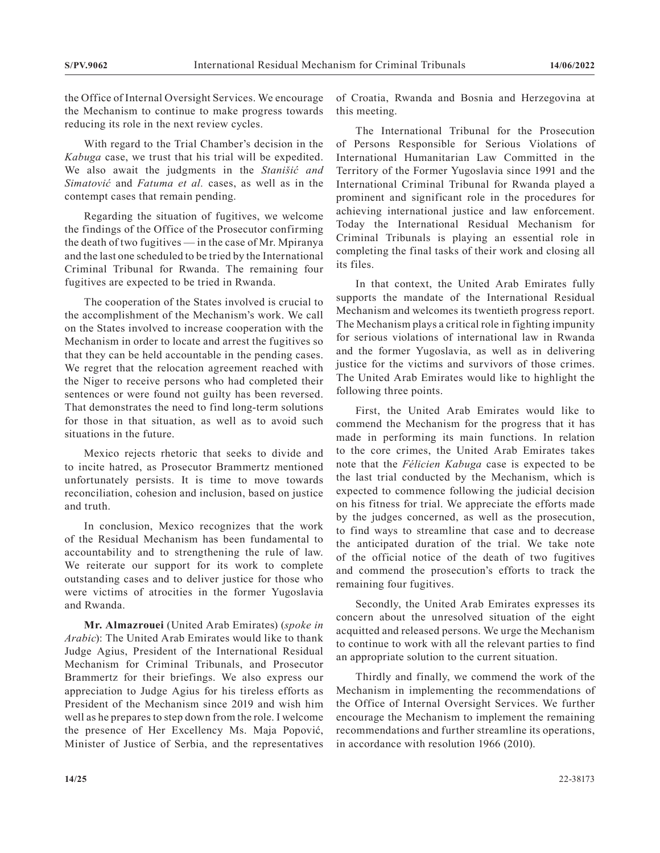the Office of Internal Oversight Services. We encourage the Mechanism to continue to make progress towards reducing its role in the next review cycles.

With regard to the Trial Chamber's decision in the *Kabuga* case, we trust that his trial will be expedited. We also await the judgments in the *Stanišić and Simatović* and *Fatuma et al.* cases, as well as in the contempt cases that remain pending.

Regarding the situation of fugitives, we welcome the findings of the Office of the Prosecutor confirming the death of two fugitives — in the case of Mr. Mpiranya and the last one scheduled to be tried by the International Criminal Tribunal for Rwanda. The remaining four fugitives are expected to be tried in Rwanda.

The cooperation of the States involved is crucial to the accomplishment of the Mechanism's work. We call on the States involved to increase cooperation with the Mechanism in order to locate and arrest the fugitives so that they can be held accountable in the pending cases. We regret that the relocation agreement reached with the Niger to receive persons who had completed their sentences or were found not guilty has been reversed. That demonstrates the need to find long-term solutions for those in that situation, as well as to avoid such situations in the future.

Mexico rejects rhetoric that seeks to divide and to incite hatred, as Prosecutor Brammertz mentioned unfortunately persists. It is time to move towards reconciliation, cohesion and inclusion, based on justice and truth.

In conclusion, Mexico recognizes that the work of the Residual Mechanism has been fundamental to accountability and to strengthening the rule of law. We reiterate our support for its work to complete outstanding cases and to deliver justice for those who were victims of atrocities in the former Yugoslavia and Rwanda.

**Mr. Almazrouei** (United Arab Emirates) (*spoke in Arabic*): The United Arab Emirates would like to thank Judge Agius, President of the International Residual Mechanism for Criminal Tribunals, and Prosecutor Brammertz for their briefings. We also express our appreciation to Judge Agius for his tireless efforts as President of the Mechanism since 2019 and wish him well as he prepares to step down from the role. I welcome the presence of Her Excellency Ms. Maja Popović, Minister of Justice of Serbia, and the representatives

of Croatia, Rwanda and Bosnia and Herzegovina at this meeting.

The International Tribunal for the Prosecution of Persons Responsible for Serious Violations of International Humanitarian Law Committed in the Territory of the Former Yugoslavia since 1991 and the International Criminal Tribunal for Rwanda played a prominent and significant role in the procedures for achieving international justice and law enforcement. Today the International Residual Mechanism for Criminal Tribunals is playing an essential role in completing the final tasks of their work and closing all its files.

In that context, the United Arab Emirates fully supports the mandate of the International Residual Mechanism and welcomes its twentieth progress report. The Mechanism plays a critical role in fighting impunity for serious violations of international law in Rwanda and the former Yugoslavia, as well as in delivering justice for the victims and survivors of those crimes. The United Arab Emirates would like to highlight the following three points.

First, the United Arab Emirates would like to commend the Mechanism for the progress that it has made in performing its main functions. In relation to the core crimes, the United Arab Emirates takes note that the *Félicien Kabuga* case is expected to be the last trial conducted by the Mechanism, which is expected to commence following the judicial decision on his fitness for trial. We appreciate the efforts made by the judges concerned, as well as the prosecution, to find ways to streamline that case and to decrease the anticipated duration of the trial. We take note of the official notice of the death of two fugitives and commend the prosecution's efforts to track the remaining four fugitives.

Secondly, the United Arab Emirates expresses its concern about the unresolved situation of the eight acquitted and released persons. We urge the Mechanism to continue to work with all the relevant parties to find an appropriate solution to the current situation.

Thirdly and finally, we commend the work of the Mechanism in implementing the recommendations of the Office of Internal Oversight Services. We further encourage the Mechanism to implement the remaining recommendations and further streamline its operations, in accordance with resolution 1966 (2010).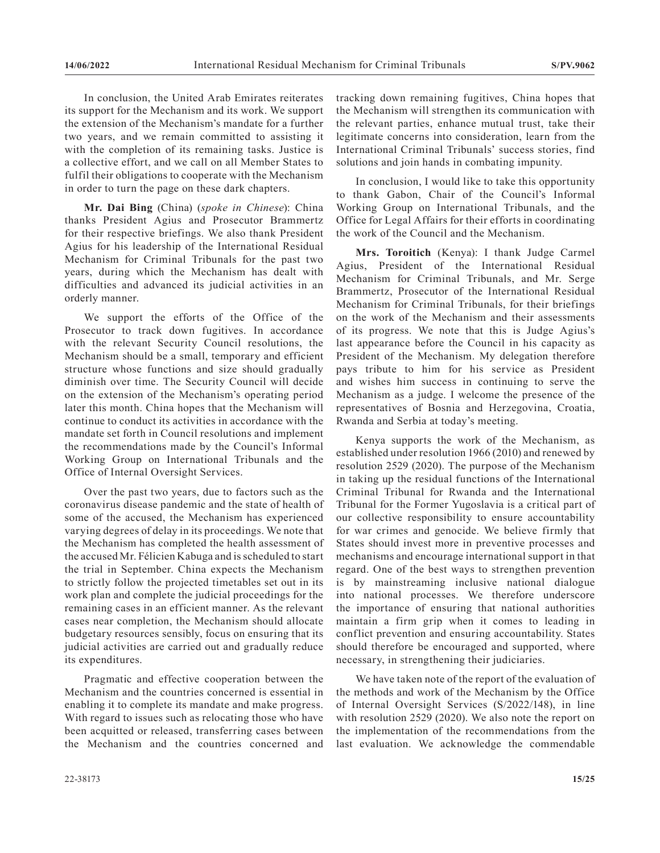In conclusion, the United Arab Emirates reiterates its support for the Mechanism and its work. We support the extension of the Mechanism's mandate for a further two years, and we remain committed to assisting it with the completion of its remaining tasks. Justice is a collective effort, and we call on all Member States to fulfil their obligations to cooperate with the Mechanism in order to turn the page on these dark chapters.

**Mr. Dai Bing** (China) (*spoke in Chinese*): China thanks President Agius and Prosecutor Brammertz for their respective briefings. We also thank President Agius for his leadership of the International Residual Mechanism for Criminal Tribunals for the past two years, during which the Mechanism has dealt with difficulties and advanced its judicial activities in an orderly manner.

We support the efforts of the Office of the Prosecutor to track down fugitives. In accordance with the relevant Security Council resolutions, the Mechanism should be a small, temporary and efficient structure whose functions and size should gradually diminish over time. The Security Council will decide on the extension of the Mechanism's operating period later this month. China hopes that the Mechanism will continue to conduct its activities in accordance with the mandate set forth in Council resolutions and implement the recommendations made by the Council's Informal Working Group on International Tribunals and the Office of Internal Oversight Services.

Over the past two years, due to factors such as the coronavirus disease pandemic and the state of health of some of the accused, the Mechanism has experienced varying degrees of delay in its proceedings. We note that the Mechanism has completed the health assessment of the accused Mr. Félicien Kabuga and is scheduled to start the trial in September. China expects the Mechanism to strictly follow the projected timetables set out in its work plan and complete the judicial proceedings for the remaining cases in an efficient manner. As the relevant cases near completion, the Mechanism should allocate budgetary resources sensibly, focus on ensuring that its judicial activities are carried out and gradually reduce its expenditures.

Pragmatic and effective cooperation between the Mechanism and the countries concerned is essential in enabling it to complete its mandate and make progress. With regard to issues such as relocating those who have been acquitted or released, transferring cases between the Mechanism and the countries concerned and

22-38173 **15/25**

tracking down remaining fugitives, China hopes that the Mechanism will strengthen its communication with the relevant parties, enhance mutual trust, take their legitimate concerns into consideration, learn from the International Criminal Tribunals' success stories, find solutions and join hands in combating impunity.

In conclusion, I would like to take this opportunity to thank Gabon, Chair of the Council's Informal Working Group on International Tribunals, and the Office for Legal Affairs for their efforts in coordinating the work of the Council and the Mechanism.

**Mrs. Toroitich** (Kenya): I thank Judge Carmel Agius, President of the International Residual Mechanism for Criminal Tribunals, and Mr. Serge Brammertz, Prosecutor of the International Residual Mechanism for Criminal Tribunals, for their briefings on the work of the Mechanism and their assessments of its progress. We note that this is Judge Agius's last appearance before the Council in his capacity as President of the Mechanism. My delegation therefore pays tribute to him for his service as President and wishes him success in continuing to serve the Mechanism as a judge. I welcome the presence of the representatives of Bosnia and Herzegovina, Croatia, Rwanda and Serbia at today's meeting.

Kenya supports the work of the Mechanism, as established under resolution 1966 (2010) and renewed by resolution 2529 (2020). The purpose of the Mechanism in taking up the residual functions of the International Criminal Tribunal for Rwanda and the International Tribunal for the Former Yugoslavia is a critical part of our collective responsibility to ensure accountability for war crimes and genocide. We believe firmly that States should invest more in preventive processes and mechanisms and encourage international support in that regard. One of the best ways to strengthen prevention is by mainstreaming inclusive national dialogue into national processes. We therefore underscore the importance of ensuring that national authorities maintain a firm grip when it comes to leading in conflict prevention and ensuring accountability. States should therefore be encouraged and supported, where necessary, in strengthening their judiciaries.

We have taken note of the report of the evaluation of the methods and work of the Mechanism by the Office of Internal Oversight Services (S/2022/148), in line with resolution 2529 (2020). We also note the report on the implementation of the recommendations from the last evaluation. We acknowledge the commendable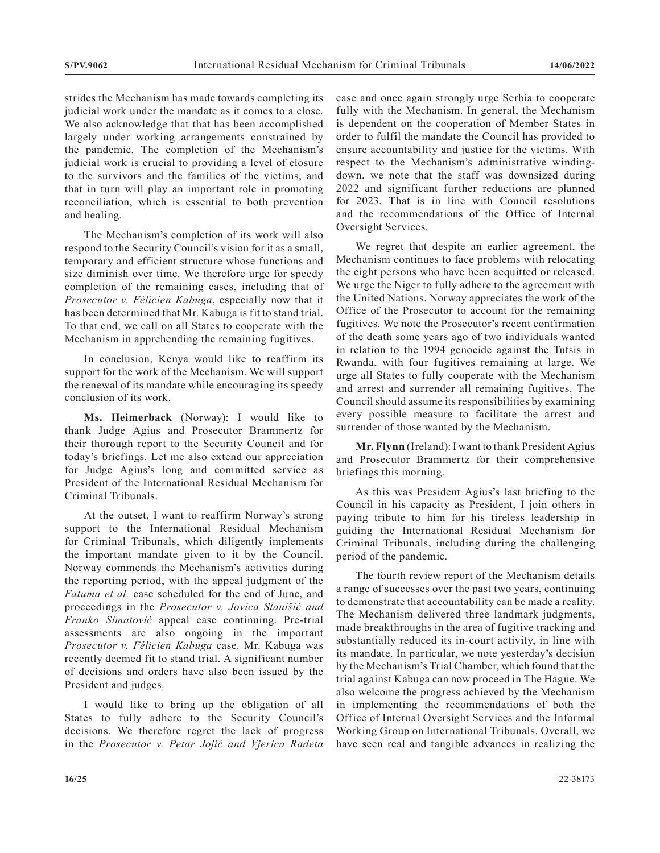strides the Mechanism has made towards completing its judicial work under the mandate as it comes to a close. We also acknowledge that that has been accomplished largely under working arrangements constrained by the pandemic. The completion of the Mechanism's judicial work is crucial to providing a level of closure to the survivors and the families of the victims, and that in turn will play an important role in promoting reconciliation, which is essential to both prevention and healing.

The Mechanism's completion of its work will also respond to the Security Council's vision for it as a small, temporary and efficient structure whose functions and size diminish over time. We therefore urge for speedy completion of the remaining cases, including that of *Prosecutor v. Félicien Kabuga*, especially now that it has been determined that Mr. Kabuga is fit to stand trial. To that end, we call on all States to cooperate with the Mechanism in apprehending the remaining fugitives.

In conclusion, Kenya would like to reaffirm its support for the work of the Mechanism. We will support the renewal of its mandate while encouraging its speedy conclusion of its work.

**Ms. Heimerback** (Norway): I would like to thank Judge Agius and Prosecutor Brammertz for their thorough report to the Security Council and for today's briefings. Let me also extend our appreciation for Judge Agius's long and committed service as President of the International Residual Mechanism for Criminal Tribunals.

At the outset, I want to reaffirm Norway's strong support to the International Residual Mechanism for Criminal Tribunals, which diligently implements the important mandate given to it by the Council. Norway commends the Mechanism's activities during the reporting period, with the appeal judgment of the *Fatuma et al.* case scheduled for the end of June, and proceedings in the *Prosecutor v. Jovica Stanišić and Franko Simatović* appeal case continuing. Pre-trial assessments are also ongoing in the important *Prosecutor v. Félicien Kabuga* case. Mr. Kabuga was recently deemed fit to stand trial. A significant number of decisions and orders have also been issued by the President and judges.

I would like to bring up the obligation of all States to fully adhere to the Security Council's decisions. We therefore regret the lack of progress in the *Prosecutor v. Petar Jojić and Vjerica Radeta* case and once again strongly urge Serbia to cooperate fully with the Mechanism. In general, the Mechanism is dependent on the cooperation of Member States in order to fulfil the mandate the Council has provided to ensure accountability and justice for the victims. With respect to the Mechanism's administrative windingdown, we note that the staff was downsized during 2022 and significant further reductions are planned for 2023. That is in line with Council resolutions and the recommendations of the Office of Internal Oversight Services.

We regret that despite an earlier agreement, the Mechanism continues to face problems with relocating the eight persons who have been acquitted or released. We urge the Niger to fully adhere to the agreement with the United Nations. Norway appreciates the work of the Office of the Prosecutor to account for the remaining fugitives. We note the Prosecutor's recent confirmation of the death some years ago of two individuals wanted in relation to the 1994 genocide against the Tutsis in Rwanda, with four fugitives remaining at large. We urge all States to fully cooperate with the Mechanism and arrest and surrender all remaining fugitives. The Council should assume its responsibilities by examining every possible measure to facilitate the arrest and surrender of those wanted by the Mechanism.

**Mr. Flynn** (Ireland): I want to thank President Agius and Prosecutor Brammertz for their comprehensive briefings this morning.

As this was President Agius's last briefing to the Council in his capacity as President, I join others in paying tribute to him for his tireless leadership in guiding the International Residual Mechanism for Criminal Tribunals, including during the challenging period of the pandemic.

The fourth review report of the Mechanism details a range of successes over the past two years, continuing to demonstrate that accountability can be made a reality. The Mechanism delivered three landmark judgments, made breakthroughs in the area of fugitive tracking and substantially reduced its in-court activity, in line with its mandate. In particular, we note yesterday's decision by the Mechanism's Trial Chamber, which found that the trial against Kabuga can now proceed in The Hague. We also welcome the progress achieved by the Mechanism in implementing the recommendations of both the Office of Internal Oversight Services and the Informal Working Group on International Tribunals. Overall, we have seen real and tangible advances in realizing the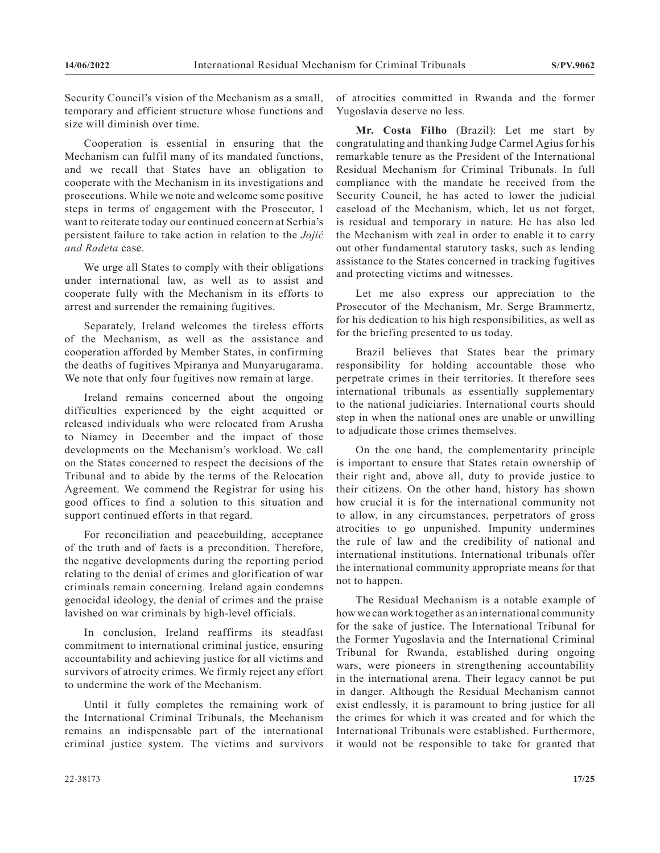Security Council's vision of the Mechanism as a small, temporary and efficient structure whose functions and size will diminish over time.

Cooperation is essential in ensuring that the Mechanism can fulfil many of its mandated functions, and we recall that States have an obligation to cooperate with the Mechanism in its investigations and prosecutions. While we note and welcome some positive steps in terms of engagement with the Prosecutor, I want to reiterate today our continued concern at Serbia's persistent failure to take action in relation to the *Jojić and Radeta* case.

We urge all States to comply with their obligations under international law, as well as to assist and cooperate fully with the Mechanism in its efforts to arrest and surrender the remaining fugitives.

Separately, Ireland welcomes the tireless efforts of the Mechanism, as well as the assistance and cooperation afforded by Member States, in confirming the deaths of fugitives Mpiranya and Munyarugarama. We note that only four fugitives now remain at large.

Ireland remains concerned about the ongoing difficulties experienced by the eight acquitted or released individuals who were relocated from Arusha to Niamey in December and the impact of those developments on the Mechanism's workload. We call on the States concerned to respect the decisions of the Tribunal and to abide by the terms of the Relocation Agreement. We commend the Registrar for using his good offices to find a solution to this situation and support continued efforts in that regard.

For reconciliation and peacebuilding, acceptance of the truth and of facts is a precondition. Therefore, the negative developments during the reporting period relating to the denial of crimes and glorification of war criminals remain concerning. Ireland again condemns genocidal ideology, the denial of crimes and the praise lavished on war criminals by high-level officials.

In conclusion, Ireland reaffirms its steadfast commitment to international criminal justice, ensuring accountability and achieving justice for all victims and survivors of atrocity crimes. We firmly reject any effort to undermine the work of the Mechanism.

Until it fully completes the remaining work of the International Criminal Tribunals, the Mechanism remains an indispensable part of the international criminal justice system. The victims and survivors of atrocities committed in Rwanda and the former Yugoslavia deserve no less.

**Mr. Costa Filho** (Brazil): Let me start by congratulating and thanking Judge Carmel Agius for his remarkable tenure as the President of the International Residual Mechanism for Criminal Tribunals. In full compliance with the mandate he received from the Security Council, he has acted to lower the judicial caseload of the Mechanism, which, let us not forget, is residual and temporary in nature. He has also led the Mechanism with zeal in order to enable it to carry out other fundamental statutory tasks, such as lending assistance to the States concerned in tracking fugitives and protecting victims and witnesses.

Let me also express our appreciation to the Prosecutor of the Mechanism, Mr. Serge Brammertz, for his dedication to his high responsibilities, as well as for the briefing presented to us today.

Brazil believes that States bear the primary responsibility for holding accountable those who perpetrate crimes in their territories. It therefore sees international tribunals as essentially supplementary to the national judiciaries. International courts should step in when the national ones are unable or unwilling to adjudicate those crimes themselves.

On the one hand, the complementarity principle is important to ensure that States retain ownership of their right and, above all, duty to provide justice to their citizens. On the other hand, history has shown how crucial it is for the international community not to allow, in any circumstances, perpetrators of gross atrocities to go unpunished. Impunity undermines the rule of law and the credibility of national and international institutions. International tribunals offer the international community appropriate means for that not to happen.

The Residual Mechanism is a notable example of how we can work together as an international community for the sake of justice. The International Tribunal for the Former Yugoslavia and the International Criminal Tribunal for Rwanda, established during ongoing wars, were pioneers in strengthening accountability in the international arena. Their legacy cannot be put in danger. Although the Residual Mechanism cannot exist endlessly, it is paramount to bring justice for all the crimes for which it was created and for which the International Tribunals were established. Furthermore, it would not be responsible to take for granted that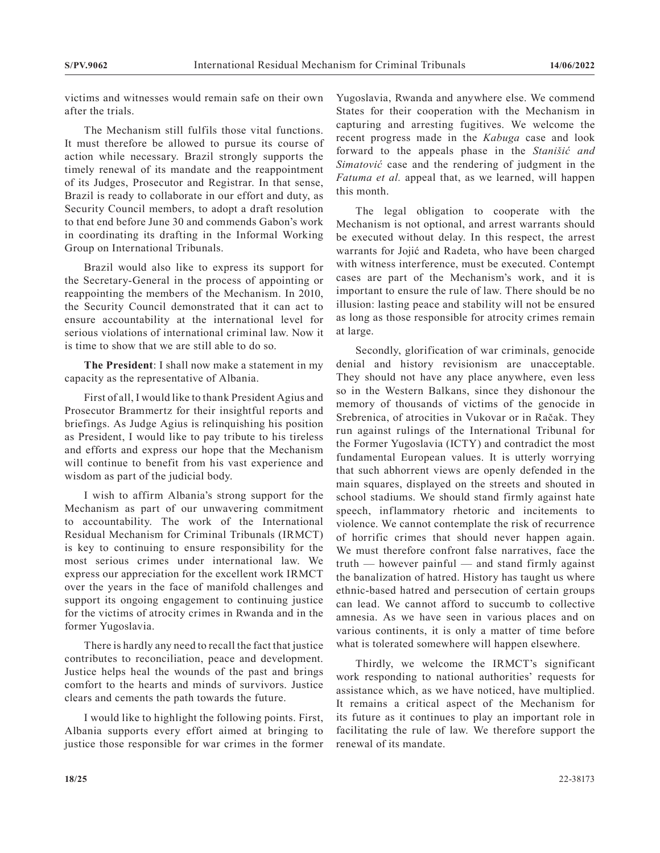victims and witnesses would remain safe on their own after the trials.

The Mechanism still fulfils those vital functions. It must therefore be allowed to pursue its course of action while necessary. Brazil strongly supports the timely renewal of its mandate and the reappointment of its Judges, Prosecutor and Registrar. In that sense, Brazil is ready to collaborate in our effort and duty, as Security Council members, to adopt a draft resolution to that end before June 30 and commends Gabon's work in coordinating its drafting in the Informal Working Group on International Tribunals.

Brazil would also like to express its support for the Secretary-General in the process of appointing or reappointing the members of the Mechanism. In 2010, the Security Council demonstrated that it can act to ensure accountability at the international level for serious violations of international criminal law. Now it is time to show that we are still able to do so.

**The President**: I shall now make a statement in my capacity as the representative of Albania.

First of all, I would like to thank President Agius and Prosecutor Brammertz for their insightful reports and briefings. As Judge Agius is relinquishing his position as President, I would like to pay tribute to his tireless and efforts and express our hope that the Mechanism will continue to benefit from his vast experience and wisdom as part of the judicial body.

I wish to affirm Albania's strong support for the Mechanism as part of our unwavering commitment to accountability. The work of the International Residual Mechanism for Criminal Tribunals (IRMCT) is key to continuing to ensure responsibility for the most serious crimes under international law. We express our appreciation for the excellent work IRMCT over the years in the face of manifold challenges and support its ongoing engagement to continuing justice for the victims of atrocity crimes in Rwanda and in the former Yugoslavia.

There is hardly any need to recall the fact that justice contributes to reconciliation, peace and development. Justice helps heal the wounds of the past and brings comfort to the hearts and minds of survivors. Justice clears and cements the path towards the future.

I would like to highlight the following points. First, Albania supports every effort aimed at bringing to justice those responsible for war crimes in the former Yugoslavia, Rwanda and anywhere else. We commend States for their cooperation with the Mechanism in capturing and arresting fugitives. We welcome the recent progress made in the *Kabuga* case and look forward to the appeals phase in the *Stanišić and Simatović* case and the rendering of judgment in the *Fatuma et al.* appeal that, as we learned, will happen this month.

The legal obligation to cooperate with the Mechanism is not optional, and arrest warrants should be executed without delay. In this respect, the arrest warrants for Jojić and Radeta, who have been charged with witness interference, must be executed. Contempt cases are part of the Mechanism's work, and it is important to ensure the rule of law. There should be no illusion: lasting peace and stability will not be ensured as long as those responsible for atrocity crimes remain at large.

Secondly, glorification of war criminals, genocide denial and history revisionism are unacceptable. They should not have any place anywhere, even less so in the Western Balkans, since they dishonour the memory of thousands of victims of the genocide in Srebrenica, of atrocities in Vukovar or in Račak. They run against rulings of the International Tribunal for the Former Yugoslavia (ICTY) and contradict the most fundamental European values. It is utterly worrying that such abhorrent views are openly defended in the main squares, displayed on the streets and shouted in school stadiums. We should stand firmly against hate speech, inflammatory rhetoric and incitements to violence. We cannot contemplate the risk of recurrence of horrific crimes that should never happen again. We must therefore confront false narratives, face the truth  $-$  however painful  $-$  and stand firmly against the banalization of hatred. History has taught us where ethnic-based hatred and persecution of certain groups can lead. We cannot afford to succumb to collective amnesia. As we have seen in various places and on various continents, it is only a matter of time before what is tolerated somewhere will happen elsewhere.

Thirdly, we welcome the IRMCT's significant work responding to national authorities' requests for assistance which, as we have noticed, have multiplied. It remains a critical aspect of the Mechanism for its future as it continues to play an important role in facilitating the rule of law. We therefore support the renewal of its mandate.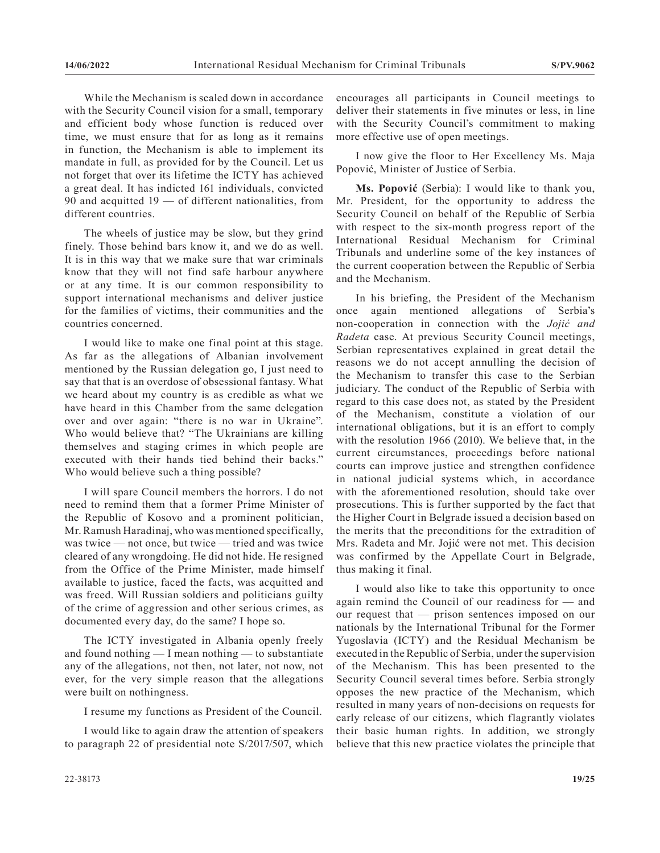While the Mechanism is scaled down in accordance with the Security Council vision for a small, temporary and efficient body whose function is reduced over time, we must ensure that for as long as it remains in function, the Mechanism is able to implement its mandate in full, as provided for by the Council. Let us not forget that over its lifetime the ICTY has achieved a great deal. It has indicted 161 individuals, convicted 90 and acquitted 19 — of different nationalities, from different countries.

The wheels of justice may be slow, but they grind finely. Those behind bars know it, and we do as well. It is in this way that we make sure that war criminals know that they will not find safe harbour anywhere or at any time. It is our common responsibility to support international mechanisms and deliver justice for the families of victims, their communities and the countries concerned.

I would like to make one final point at this stage. As far as the allegations of Albanian involvement mentioned by the Russian delegation go, I just need to say that that is an overdose of obsessional fantasy. What we heard about my country is as credible as what we have heard in this Chamber from the same delegation over and over again: "there is no war in Ukraine". Who would believe that? "The Ukrainians are killing themselves and staging crimes in which people are executed with their hands tied behind their backs." Who would believe such a thing possible?

I will spare Council members the horrors. I do not need to remind them that a former Prime Minister of the Republic of Kosovo and a prominent politician, Mr. Ramush Haradinaj, who was mentioned specifically, was twice — not once, but twice — tried and was twice cleared of any wrongdoing. He did not hide. He resigned from the Office of the Prime Minister, made himself available to justice, faced the facts, was acquitted and was freed. Will Russian soldiers and politicians guilty of the crime of aggression and other serious crimes, as documented every day, do the same? I hope so.

The ICTY investigated in Albania openly freely and found nothing — I mean nothing — to substantiate any of the allegations, not then, not later, not now, not ever, for the very simple reason that the allegations were built on nothingness.

I resume my functions as President of the Council.

I would like to again draw the attention of speakers to paragraph 22 of presidential note S/2017/507, which encourages all participants in Council meetings to deliver their statements in five minutes or less, in line with the Security Council's commitment to making more effective use of open meetings.

I now give the floor to Her Excellency Ms. Maja Popović, Minister of Justice of Serbia.

**Ms. Popović** (Serbia): I would like to thank you, Mr. President, for the opportunity to address the Security Council on behalf of the Republic of Serbia with respect to the six-month progress report of the International Residual Mechanism for Criminal Tribunals and underline some of the key instances of the current cooperation between the Republic of Serbia and the Mechanism.

In his briefing, the President of the Mechanism once again mentioned allegations of Serbia's non-cooperation in connection with the *Jojić and Radeta* case. At previous Security Council meetings, Serbian representatives explained in great detail the reasons we do not accept annulling the decision of the Mechanism to transfer this case to the Serbian judiciary. The conduct of the Republic of Serbia with regard to this case does not, as stated by the President of the Mechanism, constitute a violation of our international obligations, but it is an effort to comply with the resolution 1966 (2010). We believe that, in the current circumstances, proceedings before national courts can improve justice and strengthen confidence in national judicial systems which, in accordance with the aforementioned resolution, should take over prosecutions. This is further supported by the fact that the Higher Court in Belgrade issued a decision based on the merits that the preconditions for the extradition of Mrs. Radeta and Mr. Jojić were not met. This decision was confirmed by the Appellate Court in Belgrade, thus making it final.

I would also like to take this opportunity to once again remind the Council of our readiness for — and our request that — prison sentences imposed on our nationals by the International Tribunal for the Former Yugoslavia (ICTY) and the Residual Mechanism be executed in the Republic of Serbia, under the supervision of the Mechanism. This has been presented to the Security Council several times before. Serbia strongly opposes the new practice of the Mechanism, which resulted in many years of non-decisions on requests for early release of our citizens, which flagrantly violates their basic human rights. In addition, we strongly believe that this new practice violates the principle that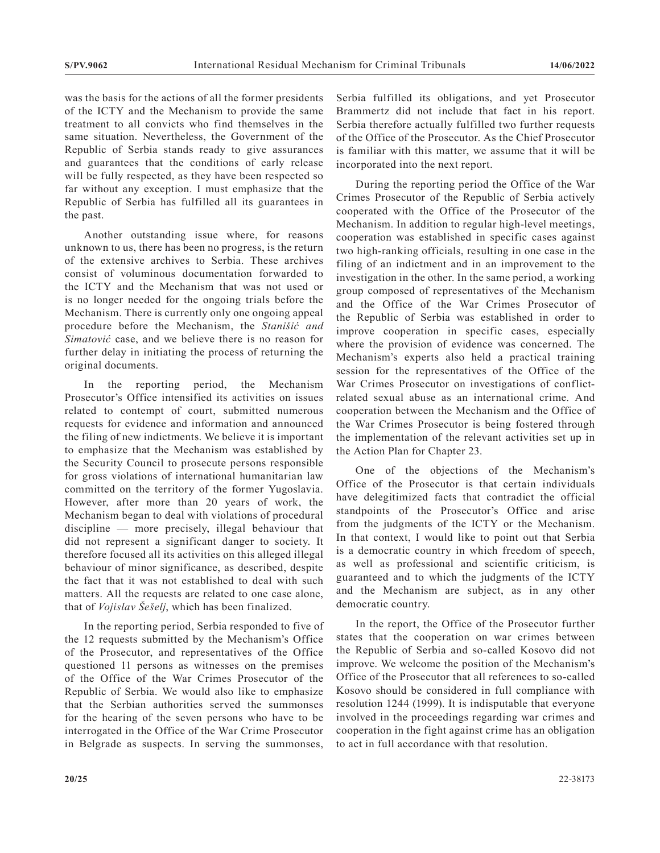was the basis for the actions of all the former presidents of the ICTY and the Mechanism to provide the same treatment to all convicts who find themselves in the same situation. Nevertheless, the Government of the Republic of Serbia stands ready to give assurances and guarantees that the conditions of early release will be fully respected, as they have been respected so far without any exception. I must emphasize that the Republic of Serbia has fulfilled all its guarantees in the past.

Another outstanding issue where, for reasons unknown to us, there has been no progress, is the return of the extensive archives to Serbia. These archives consist of voluminous documentation forwarded to the ICTY and the Mechanism that was not used or is no longer needed for the ongoing trials before the Mechanism. There is currently only one ongoing appeal procedure before the Mechanism, the *Stanišić and Simatović* case, and we believe there is no reason for further delay in initiating the process of returning the original documents.

In the reporting period, the Mechanism Prosecutor's Office intensified its activities on issues related to contempt of court, submitted numerous requests for evidence and information and announced the filing of new indictments. We believe it is important to emphasize that the Mechanism was established by the Security Council to prosecute persons responsible for gross violations of international humanitarian law committed on the territory of the former Yugoslavia. However, after more than 20 years of work, the Mechanism began to deal with violations of procedural discipline — more precisely, illegal behaviour that did not represent a significant danger to society. It therefore focused all its activities on this alleged illegal behaviour of minor significance, as described, despite the fact that it was not established to deal with such matters. All the requests are related to one case alone, that of *Vojislav Šešelj*, which has been finalized.

In the reporting period, Serbia responded to five of the 12 requests submitted by the Mechanism's Office of the Prosecutor, and representatives of the Office questioned 11 persons as witnesses on the premises of the Office of the War Crimes Prosecutor of the Republic of Serbia. We would also like to emphasize that the Serbian authorities served the summonses for the hearing of the seven persons who have to be interrogated in the Office of the War Crime Prosecutor in Belgrade as suspects. In serving the summonses,

Serbia fulfilled its obligations, and yet Prosecutor Brammertz did not include that fact in his report. Serbia therefore actually fulfilled two further requests of the Office of the Prosecutor. As the Chief Prosecutor is familiar with this matter, we assume that it will be incorporated into the next report.

During the reporting period the Office of the War Crimes Prosecutor of the Republic of Serbia actively cooperated with the Office of the Prosecutor of the Mechanism. In addition to regular high-level meetings, cooperation was established in specific cases against two high-ranking officials, resulting in one case in the filing of an indictment and in an improvement to the investigation in the other. In the same period, a working group composed of representatives of the Mechanism and the Office of the War Crimes Prosecutor of the Republic of Serbia was established in order to improve cooperation in specific cases, especially where the provision of evidence was concerned. The Mechanism's experts also held a practical training session for the representatives of the Office of the War Crimes Prosecutor on investigations of conflictrelated sexual abuse as an international crime. And cooperation between the Mechanism and the Office of the War Crimes Prosecutor is being fostered through the implementation of the relevant activities set up in the Action Plan for Chapter 23.

One of the objections of the Mechanism's Office of the Prosecutor is that certain individuals have delegitimized facts that contradict the official standpoints of the Prosecutor's Office and arise from the judgments of the ICTY or the Mechanism. In that context, I would like to point out that Serbia is a democratic country in which freedom of speech, as well as professional and scientific criticism, is guaranteed and to which the judgments of the ICTY and the Mechanism are subject, as in any other democratic country.

In the report, the Office of the Prosecutor further states that the cooperation on war crimes between the Republic of Serbia and so-called Kosovo did not improve. We welcome the position of the Mechanism's Office of the Prosecutor that all references to so-called Kosovo should be considered in full compliance with resolution 1244 (1999). It is indisputable that everyone involved in the proceedings regarding war crimes and cooperation in the fight against crime has an obligation to act in full accordance with that resolution.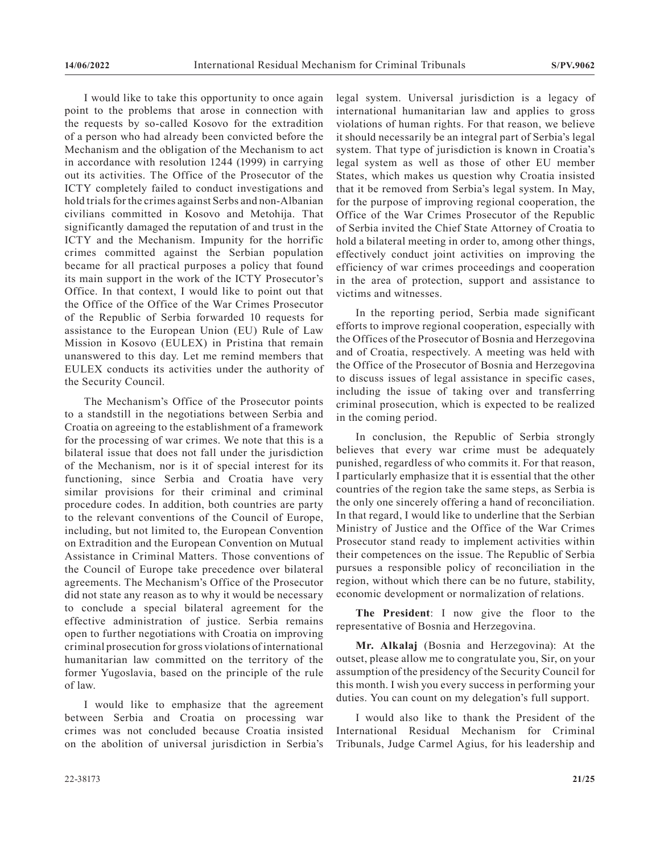I would like to take this opportunity to once again point to the problems that arose in connection with the requests by so-called Kosovo for the extradition of a person who had already been convicted before the Mechanism and the obligation of the Mechanism to act in accordance with resolution 1244 (1999) in carrying out its activities. The Office of the Prosecutor of the ICTY completely failed to conduct investigations and hold trials for the crimes against Serbs and non-Albanian civilians committed in Kosovo and Metohija. That significantly damaged the reputation of and trust in the ICTY and the Mechanism. Impunity for the horrific crimes committed against the Serbian population became for all practical purposes a policy that found its main support in the work of the ICTY Prosecutor's Office. In that context, I would like to point out that the Office of the Office of the War Crimes Prosecutor of the Republic of Serbia forwarded 10 requests for assistance to the European Union (EU) Rule of Law Mission in Kosovo (EULEX) in Pristina that remain unanswered to this day. Let me remind members that EULEX conducts its activities under the authority of the Security Council.

The Mechanism's Office of the Prosecutor points to a standstill in the negotiations between Serbia and Croatia on agreeing to the establishment of a framework for the processing of war crimes. We note that this is a bilateral issue that does not fall under the jurisdiction of the Mechanism, nor is it of special interest for its functioning, since Serbia and Croatia have very similar provisions for their criminal and criminal procedure codes. In addition, both countries are party to the relevant conventions of the Council of Europe, including, but not limited to, the European Convention on Extradition and the European Convention on Mutual Assistance in Criminal Matters. Those conventions of the Council of Europe take precedence over bilateral agreements. The Mechanism's Office of the Prosecutor did not state any reason as to why it would be necessary to conclude a special bilateral agreement for the effective administration of justice. Serbia remains open to further negotiations with Croatia on improving criminal prosecution for gross violations of international humanitarian law committed on the territory of the former Yugoslavia, based on the principle of the rule of law.

I would like to emphasize that the agreement between Serbia and Croatia on processing war crimes was not concluded because Croatia insisted on the abolition of universal jurisdiction in Serbia's

legal system. Universal jurisdiction is a legacy of international humanitarian law and applies to gross violations of human rights. For that reason, we believe it should necessarily be an integral part of Serbia's legal system. That type of jurisdiction is known in Croatia's legal system as well as those of other EU member States, which makes us question why Croatia insisted that it be removed from Serbia's legal system. In May, for the purpose of improving regional cooperation, the Office of the War Crimes Prosecutor of the Republic of Serbia invited the Chief State Attorney of Croatia to hold a bilateral meeting in order to, among other things, effectively conduct joint activities on improving the efficiency of war crimes proceedings and cooperation in the area of protection, support and assistance to victims and witnesses.

In the reporting period, Serbia made significant efforts to improve regional cooperation, especially with the Offices of the Prosecutor of Bosnia and Herzegovina and of Croatia, respectively. A meeting was held with the Office of the Prosecutor of Bosnia and Herzegovina to discuss issues of legal assistance in specific cases, including the issue of taking over and transferring criminal prosecution, which is expected to be realized in the coming period.

In conclusion, the Republic of Serbia strongly believes that every war crime must be adequately punished, regardless of who commits it. For that reason, I particularly emphasize that it is essential that the other countries of the region take the same steps, as Serbia is the only one sincerely offering a hand of reconciliation. In that regard, I would like to underline that the Serbian Ministry of Justice and the Office of the War Crimes Prosecutor stand ready to implement activities within their competences on the issue. The Republic of Serbia pursues a responsible policy of reconciliation in the region, without which there can be no future, stability, economic development or normalization of relations.

**The President**: I now give the floor to the representative of Bosnia and Herzegovina.

**Mr. Alkalaj** (Bosnia and Herzegovina): At the outset, please allow me to congratulate you, Sir, on your assumption of the presidency of the Security Council for this month. I wish you every success in performing your duties. You can count on my delegation's full support.

I would also like to thank the President of the International Residual Mechanism for Criminal Tribunals, Judge Carmel Agius, for his leadership and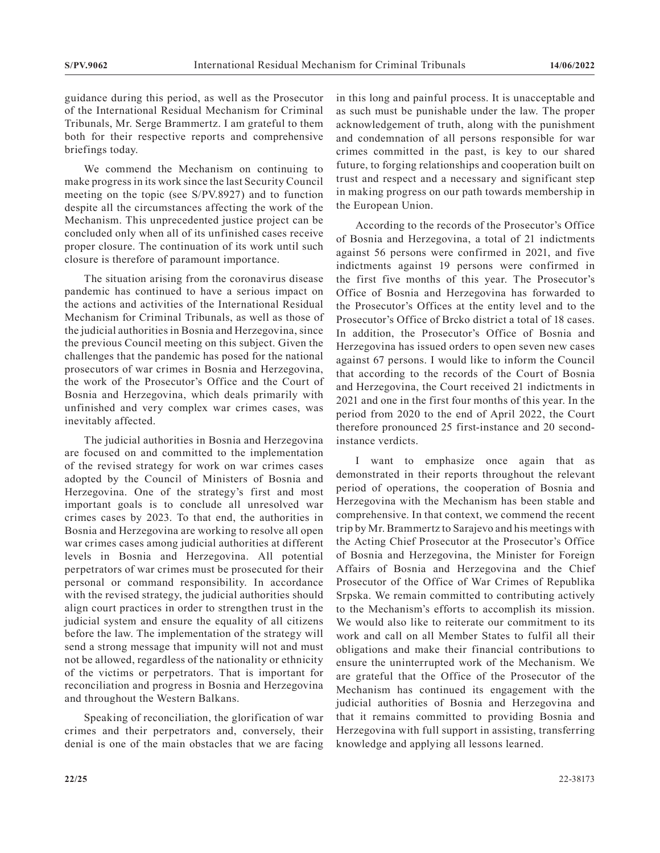guidance during this period, as well as the Prosecutor of the International Residual Mechanism for Criminal Tribunals, Mr. Serge Brammertz. I am grateful to them both for their respective reports and comprehensive briefings today.

We commend the Mechanism on continuing to make progress in its work since the last Security Council meeting on the topic (see S/PV.8927) and to function despite all the circumstances affecting the work of the Mechanism. This unprecedented justice project can be concluded only when all of its unfinished cases receive proper closure. The continuation of its work until such closure is therefore of paramount importance.

The situation arising from the coronavirus disease pandemic has continued to have a serious impact on the actions and activities of the International Residual Mechanism for Criminal Tribunals, as well as those of the judicial authorities in Bosnia and Herzegovina, since the previous Council meeting on this subject. Given the challenges that the pandemic has posed for the national prosecutors of war crimes in Bosnia and Herzegovina, the work of the Prosecutor's Office and the Court of Bosnia and Herzegovina, which deals primarily with unfinished and very complex war crimes cases, was inevitably affected.

The judicial authorities in Bosnia and Herzegovina are focused on and committed to the implementation of the revised strategy for work on war crimes cases adopted by the Council of Ministers of Bosnia and Herzegovina. One of the strategy's first and most important goals is to conclude all unresolved war crimes cases by 2023. To that end, the authorities in Bosnia and Herzegovina are working to resolve all open war crimes cases among judicial authorities at different levels in Bosnia and Herzegovina. All potential perpetrators of war crimes must be prosecuted for their personal or command responsibility. In accordance with the revised strategy, the judicial authorities should align court practices in order to strengthen trust in the judicial system and ensure the equality of all citizens before the law. The implementation of the strategy will send a strong message that impunity will not and must not be allowed, regardless of the nationality or ethnicity of the victims or perpetrators. That is important for reconciliation and progress in Bosnia and Herzegovina and throughout the Western Balkans.

Speaking of reconciliation, the glorification of war crimes and their perpetrators and, conversely, their denial is one of the main obstacles that we are facing in this long and painful process. It is unacceptable and as such must be punishable under the law. The proper acknowledgement of truth, along with the punishment and condemnation of all persons responsible for war crimes committed in the past, is key to our shared future, to forging relationships and cooperation built on trust and respect and a necessary and significant step in making progress on our path towards membership in the European Union.

According to the records of the Prosecutor's Office of Bosnia and Herzegovina, a total of 21 indictments against 56 persons were confirmed in 2021, and five indictments against 19 persons were confirmed in the first five months of this year. The Prosecutor's Office of Bosnia and Herzegovina has forwarded to the Prosecutor's Offices at the entity level and to the Prosecutor's Office of Brcko district a total of 18 cases. In addition, the Prosecutor's Office of Bosnia and Herzegovina has issued orders to open seven new cases against 67 persons. I would like to inform the Council that according to the records of the Court of Bosnia and Herzegovina, the Court received 21 indictments in 2021 and one in the first four months of this year. In the period from 2020 to the end of April 2022, the Court therefore pronounced 25 first-instance and 20 secondinstance verdicts.

I want to emphasize once again that as demonstrated in their reports throughout the relevant period of operations, the cooperation of Bosnia and Herzegovina with the Mechanism has been stable and comprehensive. In that context, we commend the recent trip by Mr. Brammertz to Sarajevo and his meetings with the Acting Chief Prosecutor at the Prosecutor's Office of Bosnia and Herzegovina, the Minister for Foreign Affairs of Bosnia and Herzegovina and the Chief Prosecutor of the Office of War Crimes of Republika Srpska. We remain committed to contributing actively to the Mechanism's efforts to accomplish its mission. We would also like to reiterate our commitment to its work and call on all Member States to fulfil all their obligations and make their financial contributions to ensure the uninterrupted work of the Mechanism. We are grateful that the Office of the Prosecutor of the Mechanism has continued its engagement with the judicial authorities of Bosnia and Herzegovina and that it remains committed to providing Bosnia and Herzegovina with full support in assisting, transferring knowledge and applying all lessons learned.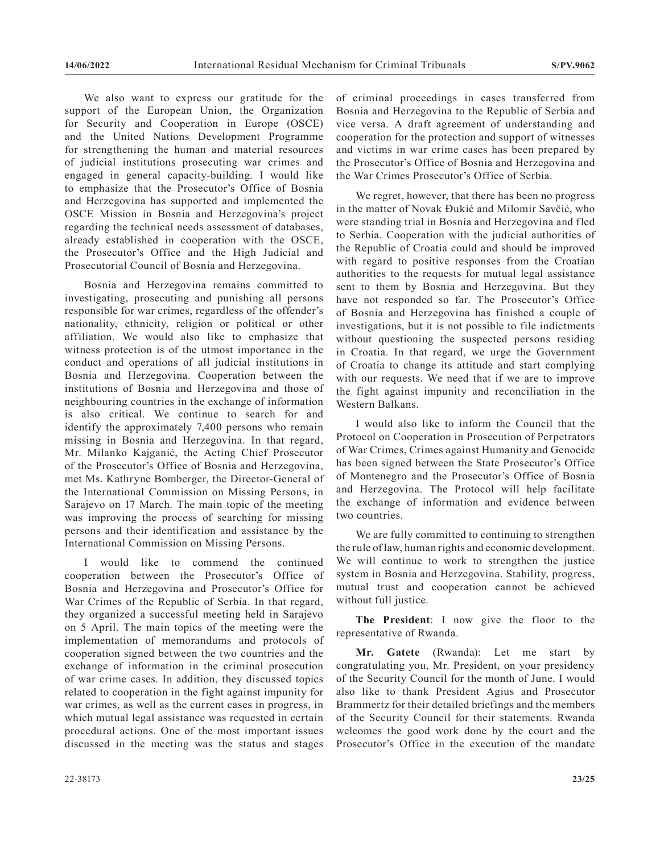We also want to express our gratitude for the support of the European Union, the Organization for Security and Cooperation in Europe (OSCE) and the United Nations Development Programme for strengthening the human and material resources of judicial institutions prosecuting war crimes and engaged in general capacity-building. I would like to emphasize that the Prosecutor's Office of Bosnia and Herzegovina has supported and implemented the OSCE Mission in Bosnia and Herzegovina's project regarding the technical needs assessment of databases, already established in cooperation with the OSCE, the Prosecutor's Office and the High Judicial and Prosecutorial Council of Bosnia and Herzegovina.

Bosnia and Herzegovina remains committed to investigating, prosecuting and punishing all persons responsible for war crimes, regardless of the offender's nationality, ethnicity, religion or political or other affiliation. We would also like to emphasize that witness protection is of the utmost importance in the conduct and operations of all judicial institutions in Bosnia and Herzegovina. Cooperation between the institutions of Bosnia and Herzegovina and those of neighbouring countries in the exchange of information is also critical. We continue to search for and identify the approximately 7,400 persons who remain missing in Bosnia and Herzegovina. In that regard, Mr. Milanko Kajganić, the Acting Chief Prosecutor of the Prosecutor's Office of Bosnia and Herzegovina, met Ms. Kathryne Bomberger, the Director-General of the International Commission on Missing Persons, in Sarajevo on 17 March. The main topic of the meeting was improving the process of searching for missing persons and their identification and assistance by the International Commission on Missing Persons.

I would like to commend the continued cooperation between the Prosecutor's Office of Bosnia and Herzegovina and Prosecutor's Office for War Crimes of the Republic of Serbia. In that regard, they organized a successful meeting held in Sarajevo on 5 April. The main topics of the meeting were the implementation of memorandums and protocols of cooperation signed between the two countries and the exchange of information in the criminal prosecution of war crime cases. In addition, they discussed topics related to cooperation in the fight against impunity for war crimes, as well as the current cases in progress, in which mutual legal assistance was requested in certain procedural actions. One of the most important issues discussed in the meeting was the status and stages

of criminal proceedings in cases transferred from Bosnia and Herzegovina to the Republic of Serbia and vice versa. A draft agreement of understanding and cooperation for the protection and support of witnesses and victims in war crime cases has been prepared by the Prosecutor's Office of Bosnia and Herzegovina and the War Crimes Prosecutor's Office of Serbia.

We regret, however, that there has been no progress in the matter of Novak Đukić and Milomir Savčić, who were standing trial in Bosnia and Herzegovina and fled to Serbia. Cooperation with the judicial authorities of the Republic of Croatia could and should be improved with regard to positive responses from the Croatian authorities to the requests for mutual legal assistance sent to them by Bosnia and Herzegovina. But they have not responded so far. The Prosecutor's Office of Bosnia and Herzegovina has finished a couple of investigations, but it is not possible to file indictments without questioning the suspected persons residing in Croatia. In that regard, we urge the Government of Croatia to change its attitude and start complying with our requests. We need that if we are to improve the fight against impunity and reconciliation in the Western Balkans.

I would also like to inform the Council that the Protocol on Cooperation in Prosecution of Perpetrators of War Crimes, Crimes against Humanity and Genocide has been signed between the State Prosecutor's Office of Montenegro and the Prosecutor's Office of Bosnia and Herzegovina. The Protocol will help facilitate the exchange of information and evidence between two countries.

We are fully committed to continuing to strengthen the rule of law, human rights and economic development. We will continue to work to strengthen the justice system in Bosnia and Herzegovina. Stability, progress, mutual trust and cooperation cannot be achieved without full justice.

**The President**: I now give the floor to the representative of Rwanda.

**Mr. Gatete** (Rwanda): Let me start by congratulating you, Mr. President, on your presidency of the Security Council for the month of June. I would also like to thank President Agius and Prosecutor Brammertz for their detailed briefings and the members of the Security Council for their statements. Rwanda welcomes the good work done by the court and the Prosecutor's Office in the execution of the mandate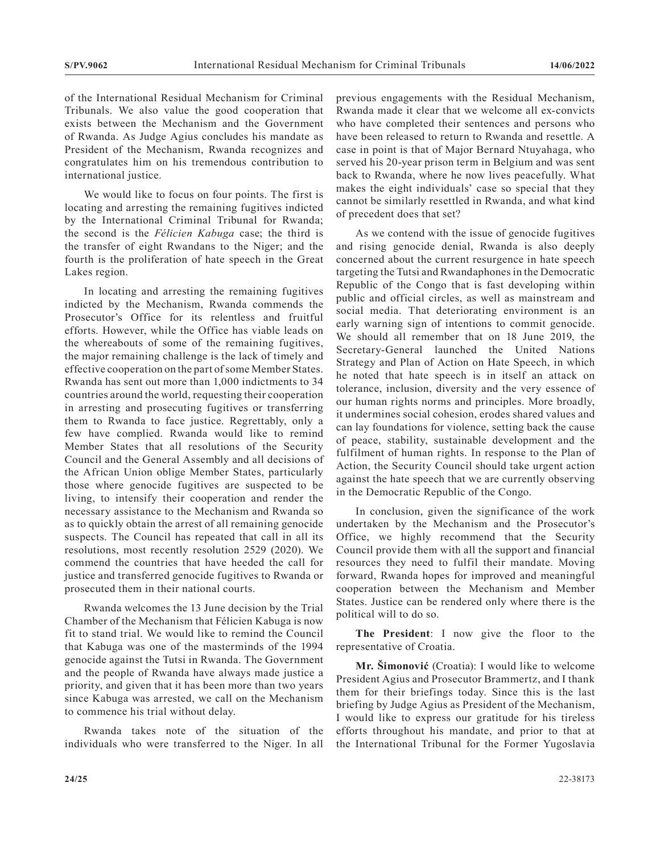of the International Residual Mechanism for Criminal Tribunals. We also value the good cooperation that exists between the Mechanism and the Government of Rwanda. As Judge Agius concludes his mandate as President of the Mechanism, Rwanda recognizes and congratulates him on his tremendous contribution to international justice.

We would like to focus on four points. The first is locating and arresting the remaining fugitives indicted by the International Criminal Tribunal for Rwanda; the second is the *Félicien Kabuga* case; the third is the transfer of eight Rwandans to the Niger; and the fourth is the proliferation of hate speech in the Great Lakes region.

In locating and arresting the remaining fugitives indicted by the Mechanism, Rwanda commends the Prosecutor's Office for its relentless and fruitful efforts. However, while the Office has viable leads on the whereabouts of some of the remaining fugitives, the major remaining challenge is the lack of timely and effective cooperation on the part of some Member States. Rwanda has sent out more than 1,000 indictments to 34 countries around the world, requesting their cooperation in arresting and prosecuting fugitives or transferring them to Rwanda to face justice. Regrettably, only a few have complied. Rwanda would like to remind Member States that all resolutions of the Security Council and the General Assembly and all decisions of the African Union oblige Member States, particularly those where genocide fugitives are suspected to be living, to intensify their cooperation and render the necessary assistance to the Mechanism and Rwanda so as to quickly obtain the arrest of all remaining genocide suspects. The Council has repeated that call in all its resolutions, most recently resolution 2529 (2020). We commend the countries that have heeded the call for justice and transferred genocide fugitives to Rwanda or prosecuted them in their national courts.

Rwanda welcomes the 13 June decision by the Trial Chamber of the Mechanism that Félicien Kabuga is now fit to stand trial. We would like to remind the Council that Kabuga was one of the masterminds of the 1994 genocide against the Tutsi in Rwanda. The Government and the people of Rwanda have always made justice a priority, and given that it has been more than two years since Kabuga was arrested, we call on the Mechanism to commence his trial without delay.

Rwanda takes note of the situation of the individuals who were transferred to the Niger. In all previous engagements with the Residual Mechanism, Rwanda made it clear that we welcome all ex-convicts who have completed their sentences and persons who have been released to return to Rwanda and resettle. A case in point is that of Major Bernard Ntuyahaga, who served his 20-year prison term in Belgium and was sent back to Rwanda, where he now lives peacefully. What makes the eight individuals' case so special that they cannot be similarly resettled in Rwanda, and what kind of precedent does that set?

As we contend with the issue of genocide fugitives and rising genocide denial, Rwanda is also deeply concerned about the current resurgence in hate speech targeting the Tutsi and Rwandaphones in the Democratic Republic of the Congo that is fast developing within public and official circles, as well as mainstream and social media. That deteriorating environment is an early warning sign of intentions to commit genocide. We should all remember that on 18 June 2019, the Secretary-General launched the United Nations Strategy and Plan of Action on Hate Speech, in which he noted that hate speech is in itself an attack on tolerance, inclusion, diversity and the very essence of our human rights norms and principles. More broadly, it undermines social cohesion, erodes shared values and can lay foundations for violence, setting back the cause of peace, stability, sustainable development and the fulfilment of human rights. In response to the Plan of Action, the Security Council should take urgent action against the hate speech that we are currently observing in the Democratic Republic of the Congo.

In conclusion, given the significance of the work undertaken by the Mechanism and the Prosecutor's Office, we highly recommend that the Security Council provide them with all the support and financial resources they need to fulfil their mandate. Moving forward, Rwanda hopes for improved and meaningful cooperation between the Mechanism and Member States. Justice can be rendered only where there is the political will to do so.

**The President**: I now give the floor to the representative of Croatia.

**Mr. Šimonović** (Croatia): I would like to welcome President Agius and Prosecutor Brammertz, and I thank them for their briefings today. Since this is the last briefing by Judge Agius as President of the Mechanism, I would like to express our gratitude for his tireless efforts throughout his mandate, and prior to that at the International Tribunal for the Former Yugoslavia